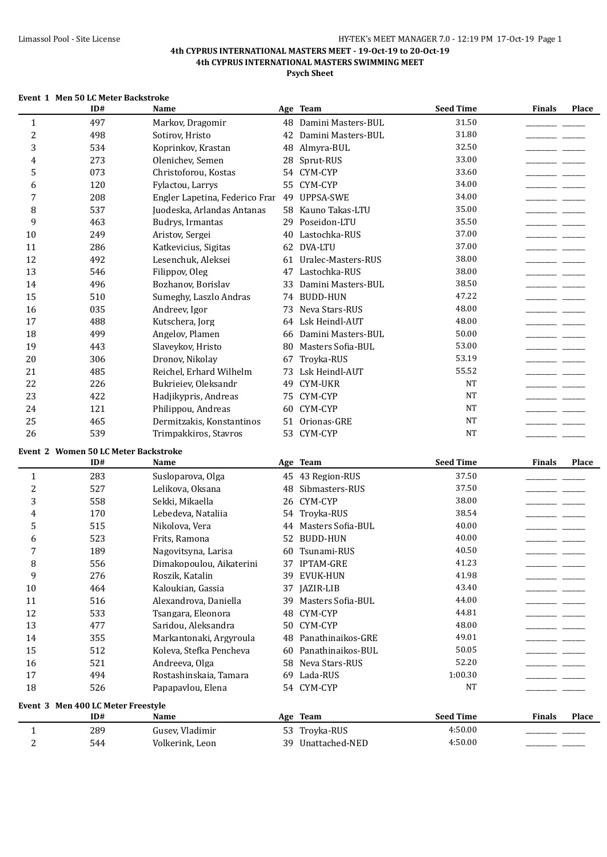|  |  | Event 1 Men 50 LC Meter Backstroke |  |  |
|--|--|------------------------------------|--|--|
|  |  |                                    |  |  |

|                | ID#                                       | Name                           |    | Age Team              | <b>Seed Time</b> | <b>Finals</b> | Place |
|----------------|-------------------------------------------|--------------------------------|----|-----------------------|------------------|---------------|-------|
| $\mathbf{1}$   | 497                                       | Markov, Dragomir               |    | 48 Damini Masters-BUL | 31.50            |               |       |
| $\overline{c}$ | 498                                       | Sotirov, Hristo                |    | 42 Damini Masters-BUL | 31.80            |               |       |
| 3              | 534                                       | Koprinkov, Krastan             |    | 48 Almyra-BUL         | 32.50            |               |       |
| 4              | 273                                       | Olenichev, Semen               | 28 | Sprut-RUS             | 33.00            |               |       |
| 5              | 073                                       | Christoforou, Kostas           |    | 54 CYM-CYP            | 33.60            |               |       |
| 6              | 120                                       | Fylactou, Larrys               |    | 55 CYM-CYP            | 34.00            |               |       |
| 7              | 208                                       | Engler Lapetina, Federico Frar | 49 | <b>UPPSA-SWE</b>      | 34.00            |               |       |
| 8              | 537                                       | Juodeska, Arlandas Antanas     | 58 | Kauno Takas-LTU       | 35.00            |               |       |
| 9              | 463                                       | Budrys, Irmantas               | 29 | Poseidon-LTU          | 35.50            |               |       |
| 10             | 249                                       | Aristov, Sergei                | 40 | Lastochka-RUS         | 37.00            |               |       |
| 11             | 286                                       | Katkevicius, Sigitas           |    | 62 DVA-LTU            | 37.00            |               |       |
| 12             | 492                                       | Lesenchuk, Aleksei             | 61 | Uralec-Masters-RUS    | 38.00            |               |       |
| 13             | 546                                       | Filippov, Oleg                 | 47 | Lastochka-RUS         | 38.00            |               |       |
| 14             | 496                                       | Bozhanov, Borislav             | 33 | Damini Masters-BUL    | 38.50            |               |       |
| 15             | 510                                       | Sumeghy, Laszlo Andras         |    | 74 BUDD-HUN           | 47.22            |               |       |
| 16             | 035                                       | Andreev, Igor                  |    | 73 Neva Stars-RUS     | 48.00            |               |       |
| 17             | 488                                       | Kutschera, Jorg                |    | 64 Lsk Heindl-AUT     | 48.00            |               |       |
| 18             | 499                                       | Angelov, Plamen                | 66 | Damini Masters-BUL    | 50.00            |               |       |
| 19             | 443                                       | Slaveykov, Hristo              |    | 80 Masters Sofia-BUL  | 53.00            | -- -          |       |
| 20             | 306                                       | Dronov, Nikolay                | 67 | Troyka-RUS            | 53.19            | للمستنقص      |       |
| 21             | 485                                       | Reichel, Erhard Wilhelm        |    | 73 Lsk Heindl-AUT     | 55.52            |               |       |
| 22             | 226                                       | Bukrieiev, Oleksandr           | 49 | <b>CYM-UKR</b>        | <b>NT</b>        |               |       |
| 23             | 422                                       | Hadjikypris, Andreas           |    | 75 CYM-CYP            | <b>NT</b>        |               |       |
| 24             | 121                                       | Philippou, Andreas             | 60 | CYM-CYP               | <b>NT</b>        |               |       |
| 25             | 465                                       | Dermitzakis, Konstantinos      | 51 | Orionas-GRE           | <b>NT</b>        |               |       |
| 26             | 539                                       | Trimpakkiros, Stavros          |    | 53 CYM-CYP            | <b>NT</b>        |               |       |
|                |                                           |                                |    |                       |                  |               |       |
|                | Event 2 Women 50 LC Meter Backstroke      |                                |    |                       |                  |               |       |
|                | ID#                                       | Name                           |    | Age Team              | <b>Seed Time</b> | <b>Finals</b> | Place |
| $\mathbf{1}$   | 283                                       | Susloparova, Olga              |    | 45 43 Region-RUS      | 37.50            |               |       |
| $\overline{c}$ | 527                                       |                                |    |                       |                  |               |       |
| 3              |                                           | Lelikova, Oksana               | 48 | Sibmasters-RUS        | 37.50            |               |       |
|                | 558                                       | Sekki, Mikaella                |    | 26 CYM-CYP            | 38.00            |               |       |
| 4              | 170                                       | Lebedeva, Nataliia             |    | 54 Troyka-RUS         | 38.54            |               |       |
| 5              | 515                                       | Nikolova, Vera                 |    | 44 Masters Sofia-BUL  | 40.00            |               |       |
| 6              | 523                                       | Frits, Ramona                  |    | 52 BUDD-HUN           | 40.00            |               |       |
| 7              | 189                                       | Nagovitsyna, Larisa            |    | 60 Tsunami-RUS        | 40.50            |               |       |
| 8              | 556                                       | Dimakopoulou, Aikaterini       |    | 37 IPTAM-GRE          | 41.23            |               |       |
| 9              | 276                                       | Roszik, Katalin                |    | 39 EVUK-HUN           | 41.98            |               |       |
| 10             | 464                                       | Kaloukian, Gassia              |    | 37 JAZIR-LIB          | 43.40            |               |       |
| 11             | 516                                       | Alexandrova, Daniella          |    | 39 Masters Sofia-BUL  | 44.00            |               |       |
| 12             | 533                                       | Tsangara, Eleonora             |    | 48 CYM-CYP            | 44.81            |               |       |
| 13             | 477                                       | Saridou, Aleksandra            |    | 50 CYM-CYP            | 48.00            |               |       |
| 14             | 355                                       | Markantonaki, Argyroula        | 48 | Panathinaikos-GRE     | 49.01            |               |       |
| 15             | 512                                       | Koleva, Stefka Pencheva        | 60 | Panathinaikos-BUL     | 50.05            |               |       |
| 16             | 521                                       | Andreeva, Olga                 |    | 58 Neva Stars-RUS     | 52.20            |               |       |
| 17             | 494                                       | Rostashinskaia, Tamara         |    | 69 Lada-RUS           | 1:00.30          |               |       |
| 18             | 526                                       | Papapavlou, Elena              |    | 54 CYM-CYP            | <b>NT</b>        |               |       |
|                |                                           |                                |    |                       |                  |               |       |
|                | Event 3 Men 400 LC Meter Freestyle<br>ID# | Name                           |    | Age Team              | <b>Seed Time</b> | <b>Finals</b> | Place |
| $\mathbf{1}$   | 289                                       | Gusev, Vladimir                |    | 53 Troyka-RUS         | 4:50.00          |               |       |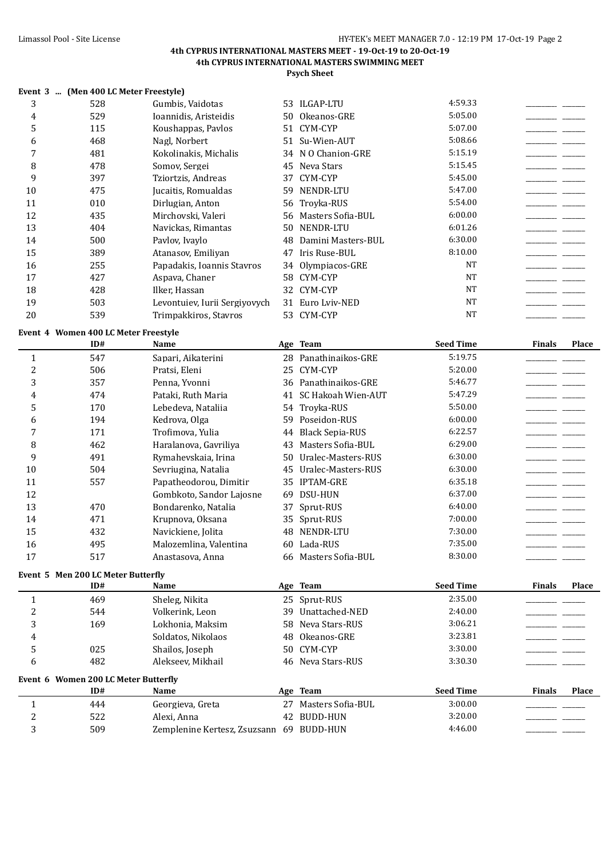**Psych Sheet**

|              | Event 3  (Men 400 LC Meter Freestyle) |                               |    |                        |                  |                               |
|--------------|---------------------------------------|-------------------------------|----|------------------------|------------------|-------------------------------|
| 3            | 528                                   | Gumbis, Vaidotas              |    | 53 ILGAP-LTU           | 4:59.33          |                               |
| 4            | 529                                   | Ioannidis, Aristeidis         | 50 | Okeanos-GRE            | 5:05.00          |                               |
| 5            | 115                                   | Koushappas, Pavlos            | 51 | CYM-CYP                | 5:07.00          |                               |
| 6            | 468                                   | Nagl, Norbert                 | 51 | Su-Wien-AUT            | 5:08.66          |                               |
| 7            | 481                                   | Kokolinakis, Michalis         |    | 34 N O Chanion-GRE     | 5:15.19          |                               |
| 8            | 478                                   | Somov, Sergei                 | 45 | Neva Stars             | 5:15.45          |                               |
| 9            | 397                                   | Tziortzis, Andreas            | 37 | CYM-CYP                | 5:45.00          |                               |
| 10           | 475                                   | Jucaitis, Romualdas           | 59 | NENDR-LTU              | 5:47.00          |                               |
| 11           | 010                                   | Dirlugian, Anton              | 56 | Troyka-RUS             | 5:54.00          |                               |
| 12           | 435                                   | Mirchovski, Valeri            | 56 | Masters Sofia-BUL      | 6:00.00          |                               |
| 13           | 404                                   | Navickas, Rimantas            | 50 | NENDR-LTU              | 6:01.26          |                               |
| 14           | 500                                   | Pavlov, Ivaylo                | 48 | Damini Masters-BUL     | 6:30.00          |                               |
| 15           | 389                                   | Atanasov, Emiliyan            | 47 | Iris Ruse-BUL          | 8:10.00          |                               |
| 16           | 255                                   | Papadakis, Ioannis Stavros    | 34 | Olympiacos-GRE         | <b>NT</b>        |                               |
| 17           | 427                                   | Aspava, Chaner                | 58 | CYM-CYP                | <b>NT</b>        |                               |
| 18           | 428                                   | Ilker, Hassan                 | 32 | CYM-CYP                | <b>NT</b>        |                               |
| 19           | 503                                   | Levontuiev, Iurii Sergiyovych | 31 | Euro Lviv-NED          | <b>NT</b>        |                               |
| 20           | 539                                   | Trimpakkiros, Stavros         |    | 53 CYM-CYP             | <b>NT</b>        |                               |
|              | Event 4 Women 400 LC Meter Freestyle  |                               |    |                        |                  |                               |
|              | ID#                                   | Name                          |    | Age Team               | <b>Seed Time</b> | <b>Finals</b><br><b>Place</b> |
| $\mathbf{1}$ | 547                                   | Sapari, Aikaterini            | 28 | Panathinaikos-GRE      | 5:19.75          |                               |
| 2            | 506                                   | Pratsi, Eleni                 | 25 | CYM-CYP                | 5:20.00          |                               |
| 3            | 357                                   | Penna, Yvonni                 |    | 36 Panathinaikos-GRE   | 5:46.77          |                               |
| 4            | 474                                   | Pataki, Ruth Maria            | 41 | SC Hakoah Wien-AUT     | 5:47.29          |                               |
| 5            | 170                                   | Lebedeva, Nataliia            | 54 | Troyka-RUS             | 5:50.00          |                               |
| 6            | 194                                   | Kedrova, Olga                 | 59 | Poseidon-RUS           | 6:00.00          |                               |
| 7            | 171                                   | Trofimova, Yulia              | 44 | <b>Black Sepia-RUS</b> | 6:22.57          |                               |
| 8            | 462                                   | Haralanova, Gavriliya         | 43 | Masters Sofia-BUL      | 6:29.00          |                               |

9 1910 Rymahevskaia, Irina 50 Uralec-Masters-RUS 6:30.00 1910 - 1920

11 557 Papatheodorou, Dimitir 35 IPTAM-GRE 6:35.18  $\qquad \qquad$ 

10 504 Sevriugina, Natalia 45 Uralec-Masters-RUS 6:30.00

12 Gombkoto, Sandor Lajosne 69 DSU-HUN 6:37.00 13 13 470 Bondarenko, Natalia 37 Sprut-RUS 6:40.00 14 14 14 15 Arupnova, Oksana 35 Sprut-RUS 7:00.00 15 15 432 Navickiene, Jolita 48 NENDR-LTU 7:30.00

3 509 Zemplenine Kertesz, Zsuzsann 69 BUDD-HUN 4:46.00

| 16 | 495                                  | Malozemlina, Valentina |    | 60 Lada-RUS          | 7:35.00          |               |       |
|----|--------------------------------------|------------------------|----|----------------------|------------------|---------------|-------|
| 17 | 517                                  | Anastasova, Anna       |    | 66 Masters Sofia-BUL | 8:30.00          |               |       |
|    | Event 5 Men 200 LC Meter Butterfly   |                        |    |                      |                  |               |       |
|    | ID#                                  | <b>Name</b>            |    | Age Team             | <b>Seed Time</b> | <b>Finals</b> | Place |
|    | 469                                  | Sheleg, Nikita         |    | 25 Sprut-RUS         | 2:35.00          |               |       |
| 2  | 544                                  | Volkerink, Leon        |    | 39 Unattached-NED    | 2:40.00          |               |       |
| 3  | 169                                  | Lokhonia. Maksim       |    | 58 Neva Stars-RUS    | 3:06.21          |               |       |
| 4  |                                      | Soldatos, Nikolaos     |    | 48 Okeanos-GRE       | 3:23.81          |               |       |
| 5  | 025                                  | Shailos, Joseph        |    | 50 CYM-CYP           | 3:30.00          |               |       |
| 6  | 482                                  | Alekseev. Mikhail      |    | 46 Neva Stars-RUS    | 3:30.30          |               |       |
|    | Event 6 Women 200 LC Meter Butterfly |                        |    |                      |                  |               |       |
|    | ID#                                  | <b>Name</b>            |    | Age Team             | <b>Seed Time</b> | <b>Finals</b> | Place |
|    | 444                                  | Georgieva, Greta       | 27 | Masters Sofia-BUL    | 3:00.00          |               |       |
| 2  | 522                                  | Alexi, Anna            | 42 | BUDD-HUN             | 3:20.00          |               |       |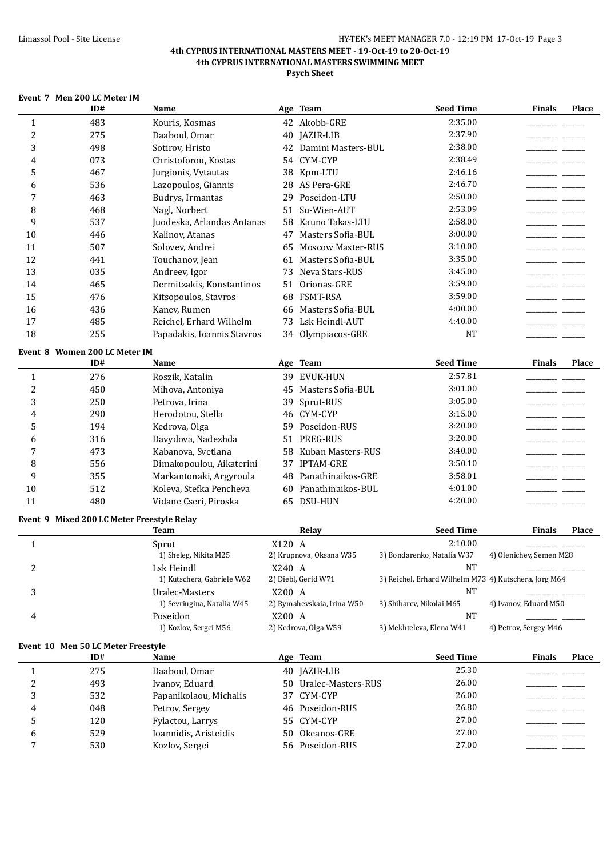| Event 7 Men 200 LC Meter IM |  |  |  |
|-----------------------------|--|--|--|
|                             |  |  |  |

|                | ID#                                        | Name                                     |        | Age Team                   | <b>Seed Time</b>                                      | <b>Finals</b>                     | <b>Place</b> |
|----------------|--------------------------------------------|------------------------------------------|--------|----------------------------|-------------------------------------------------------|-----------------------------------|--------------|
| $\mathbf{1}$   | 483                                        | Kouris, Kosmas                           |        | 42 Akobb-GRE               | 2:35.00                                               |                                   |              |
| $\overline{c}$ | 275                                        | Daaboul, Omar                            |        | 40 JAZIR-LIB               | 2:37.90                                               |                                   |              |
| 3              | 498                                        | Sotirov, Hristo                          |        | 42 Damini Masters-BUL      | 2:38.00                                               |                                   |              |
| 4              | 073                                        | Christoforou, Kostas                     |        | 54 CYM-CYP                 | 2:38.49                                               |                                   |              |
| 5              | 467                                        | Jurgionis, Vytautas                      |        | 38 Kpm-LTU                 | 2:46.16                                               |                                   |              |
| 6              | 536                                        | Lazopoulos, Giannis                      |        | 28 AS Pera-GRE             | 2:46.70                                               |                                   |              |
| 7              | 463                                        | Budrys, Irmantas                         | 29     | 2:50.00<br>Poseidon-LTU    |                                                       |                                   |              |
| 8              | 468                                        | Nagl, Norbert                            | 51     | 2:53.09<br>Su-Wien-AUT     |                                                       |                                   |              |
| 9              | 537                                        | Juodeska, Arlandas Antanas               |        | 58 Kauno Takas-LTU         | 2:58.00                                               |                                   |              |
| 10             | 446                                        | Kalinov, Atanas                          | 47     | Masters Sofia-BUL          | 3:00.00                                               |                                   |              |
| 11             | 507                                        | Solovev, Andrei                          | 65     | <b>Moscow Master-RUS</b>   | 3:10.00                                               |                                   |              |
| 12             | 441                                        | Touchanov, Jean                          | 61     | Masters Sofia-BUL          | 3:35.00                                               |                                   |              |
| 13             | 035                                        | Andreev, Igor                            | 73     | Neva Stars-RUS             | 3:45.00                                               |                                   |              |
| 14             | 465                                        | Dermitzakis, Konstantinos                | 51     | Orionas-GRE                | 3:59.00                                               |                                   |              |
| 15             | 476                                        | Kitsopoulos, Stavros                     | 68     | <b>FSMT-RSA</b>            | 3:59.00                                               |                                   |              |
| 16             | 436                                        | Kanev, Rumen                             | 66     | Masters Sofia-BUL          | 4:00.00                                               |                                   |              |
| 17             | 485                                        | Reichel, Erhard Wilhelm                  |        | 73 Lsk Heindl-AUT          | 4:40.00                                               |                                   |              |
| 18             | 255                                        | Papadakis, Ioannis Stavros               |        | 34 Olympiacos-GRE          | <b>NT</b>                                             |                                   |              |
|                |                                            |                                          |        |                            |                                                       |                                   |              |
|                | Event 8 Women 200 LC Meter IM<br>ID#       | Name                                     |        | Age Team                   | <b>Seed Time</b>                                      | <b>Finals</b>                     | <b>Place</b> |
| $\mathbf{1}$   | 276                                        | Roszik, Katalin                          |        | 39 EVUK-HUN                | 2:57.81                                               |                                   |              |
| $\overline{c}$ | 450                                        | Mihova, Antoniya                         |        | 45 Masters Sofia-BUL       | 3:01.00                                               |                                   |              |
| 3              | 250                                        | Petrova, Irina                           | 39     | Sprut-RUS                  | 3:05.00                                               |                                   |              |
| 4              | 290                                        | Herodotou, Stella                        |        | 46 CYM-CYP                 | 3:15.00                                               |                                   |              |
| 5              | 194                                        | Kedrova, Olga                            |        | 59 Poseidon-RUS            | 3:20.00                                               |                                   |              |
| 6              | 316                                        | Davydova, Nadezhda                       |        | 51 PREG-RUS                | 3:20.00                                               |                                   |              |
| 7              | 473                                        | Kabanova, Svetlana                       |        | 58 Kuban Masters-RUS       | 3:40.00                                               | <b>Contract Contract Contract</b> |              |
| 8              | 556                                        | Dimakopoulou, Aikaterini                 |        | 37 IPTAM-GRE               | 3:50.10                                               |                                   |              |
| 9              | 355                                        | Markantonaki, Argyroula                  |        | 48 Panathinaikos-GRE       | 3:58.01                                               |                                   |              |
| 10             | 512                                        | Koleva, Stefka Pencheva                  | 60     | Panathinaikos-BUL          | 4:01.00                                               |                                   |              |
| 11             | 480                                        | Vidane Cseri, Piroska                    |        | 65 DSU-HUN                 | 4:20.00                                               |                                   |              |
|                |                                            |                                          |        |                            |                                                       |                                   |              |
|                | Event 9 Mixed 200 LC Meter Freestyle Relay |                                          |        |                            | <b>Seed Time</b>                                      | <b>Finals</b>                     |              |
|                |                                            | <b>Team</b>                              |        | Relay                      | 2:10.00                                               |                                   | <b>Place</b> |
| $\mathbf{1}$   |                                            | Sprut<br>1) Sheleg, Nikita M25           | X120 A | 2) Krupnova, Oksana W35    | 3) Bondarenko, Natalia W37                            | 4) Olenichev, Semen M28           |              |
|                |                                            |                                          | X240 A |                            | NΤ                                                    |                                   |              |
| 2              |                                            | Lsk Heindl<br>1) Kutschera, Gabriele W62 |        | 2) Diebl, Gerid W71        | 3) Reichel, Erhard Wilhelm M73 4) Kutschera, Jorg M64 |                                   |              |
| 3              |                                            | Uralec-Masters                           | X200 A |                            | <b>NT</b>                                             |                                   |              |
|                |                                            | 1) Sevriugina, Natalia W45               |        | 2) Rymahevskaia, Irina W50 | 3) Shibarev, Nikolai M65                              | 4) Ivanov, Eduard M50             |              |
| 4              |                                            | Poseidon                                 | X200 A |                            | <b>NT</b>                                             |                                   |              |
|                |                                            | 1) Kozlov, Sergei M56                    |        | 2) Kedrova, Olga W59       | 3) Mekhteleva, Elena W41                              | 4) Petrov, Sergey M46             |              |
|                |                                            |                                          |        |                            |                                                       |                                   |              |
|                | Event 10 Men 50 LC Meter Freestyle<br>ID#  | Name                                     |        | Age Team                   | <b>Seed Time</b>                                      | <b>Finals</b>                     | Place        |
|                |                                            |                                          |        |                            |                                                       |                                   |              |
| 1              | 275                                        | Daaboul, Omar                            |        | 40 JAZIR-LIB               | 25.30<br>26.00                                        |                                   |              |
| 2              | 493                                        | Ivanov, Eduard                           |        | 50 Uralec-Masters-RUS      | 26.00                                                 |                                   |              |
| 3              | 532                                        | Papanikolaou, Michalis                   |        | 37 CYM-CYP                 | 26.80                                                 |                                   |              |
| 4              | 048                                        | Petrov, Sergey                           |        | 46 Poseidon-RUS            |                                                       |                                   |              |
| 5              | 120                                        | Fylactou, Larrys                         |        | 55 CYM-CYP                 | 27.00                                                 |                                   |              |
| 6              | 529                                        | Ioannidis, Aristeidis                    | 50     | 27.00<br>Okeanos-GRE       |                                                       |                                   |              |
| 7              | 530                                        | Kozlov, Sergei                           |        | 56 Poseidon-RUS            | 27.00                                                 |                                   |              |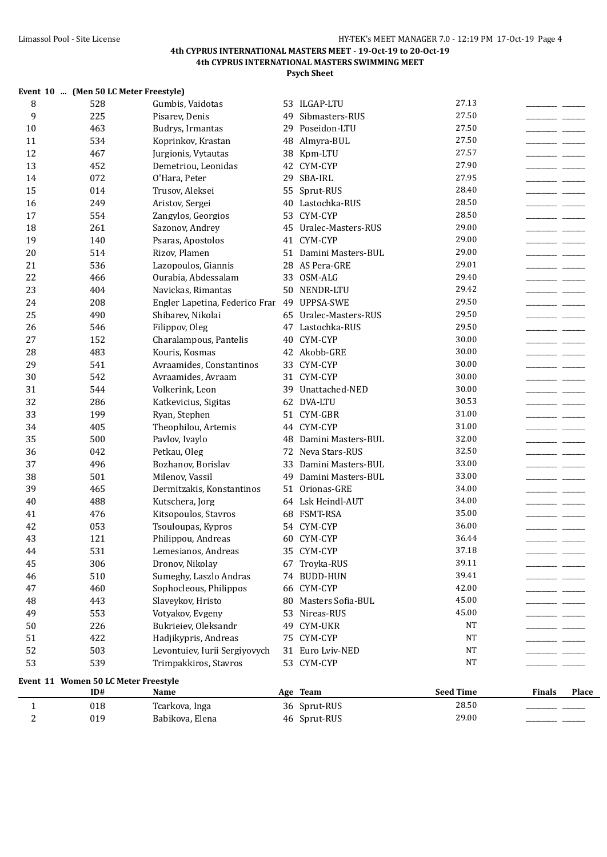|                     | Event 10  (Men 50 LC Meter Freestyle)       |                                   |    |                       |                  |               |              |
|---------------------|---------------------------------------------|-----------------------------------|----|-----------------------|------------------|---------------|--------------|
| 8                   | 528                                         | Gumbis, Vaidotas                  |    | 53 ILGAP-LTU          | 27.13            |               |              |
| 9                   | 225                                         | Pisarev, Denis                    |    | 49 Sibmasters-RUS     | 27.50            |               |              |
| 10                  | 463                                         | Budrys, Irmantas                  |    | 29 Poseidon-LTU       | 27.50            |               |              |
| 11                  | 534                                         | Koprinkov, Krastan                |    | 48 Almyra-BUL         | 27.50            |               |              |
| 12                  | 467                                         | Jurgionis, Vytautas               |    | 38 Kpm-LTU            | 27.57            |               |              |
| 13                  | 452                                         | Demetriou, Leonidas               |    | 42 CYM-CYP            | 27.90            |               |              |
| 14                  | 072                                         | O'Hara, Peter                     | 29 | SBA-IRL               | 27.95            |               |              |
| 15                  | 014                                         | Trusov, Aleksei                   |    | 55 Sprut-RUS          | 28.40            |               |              |
| 16                  | 249                                         | Aristov, Sergei                   |    | 40 Lastochka-RUS      | 28.50            |               |              |
| 17                  | 554                                         | Zangylos, Georgios                | 53 | CYM-CYP               | 28.50            |               |              |
| 18                  | 261                                         | Sazonov, Andrey                   |    | 45 Uralec-Masters-RUS | 29.00            |               |              |
| 19                  | 140                                         | Psaras, Apostolos                 |    | 41 CYM-CYP            | 29.00            |               |              |
| 20                  | 514                                         | Rizov, Plamen                     |    | 51 Damini Masters-BUL | 29.00            |               |              |
| 21                  | 536                                         | Lazopoulos, Giannis               |    | 28 AS Pera-GRE        | 29.01            |               |              |
| 22                  | 466                                         | Ourabia, Abdessalam               | 33 | OSM-ALG               | 29.40            |               |              |
| 23                  | 404                                         | Navickas, Rimantas                |    | 50 NENDR-LTU          | 29.42            |               |              |
| 24                  | 208                                         | Engler Lapetina, Federico Frar    |    | 49 UPPSA-SWE          | 29.50            |               |              |
| 25                  | 490                                         | Shibarev, Nikolai                 |    | 65 Uralec-Masters-RUS | 29.50            |               |              |
| 26                  | 546                                         | Filippov, Oleg                    |    | 47 Lastochka-RUS      | 29.50            |               |              |
| 27                  | 152                                         | Charalampous, Pantelis            |    | 40 CYM-CYP            | 30.00            |               |              |
| 28                  | 483                                         | Kouris, Kosmas                    |    | 42 Akobb-GRE          | 30.00            |               |              |
| 29                  | 541                                         | Avraamides, Constantinos          |    | 33 CYM-CYP            | 30.00            |               |              |
| 30                  | 542                                         | Avraamides, Avraam                |    | 31 CYM-CYP            | 30.00            |               |              |
| 31                  | 544                                         | Volkerink, Leon                   |    | 39 Unattached-NED     | 30.00            |               |              |
| 32                  | 286                                         | Katkevicius, Sigitas              |    | 62 DVA-LTU            | 30.53            |               |              |
| 33                  | 199                                         | Ryan, Stephen                     |    | 51 CYM-GBR            | 31.00            |               |              |
| 34                  | 405                                         | Theophilou, Artemis               |    | 44 CYM-CYP            | 31.00            |               |              |
| 35                  | 500                                         | Pavlov, Ivaylo                    |    | 48 Damini Masters-BUL | 32.00            |               |              |
| 36                  | 042                                         | Petkau, Oleg                      |    | 72 Neva Stars-RUS     | 32.50            |               |              |
| 37                  | 496                                         | Bozhanov, Borislav                | 33 | Damini Masters-BUL    | 33.00            |               |              |
| 38                  | 501                                         | Milenov, Vassil                   | 49 | Damini Masters-BUL    | 33.00            |               |              |
| 39                  | 465                                         | Dermitzakis, Konstantinos         |    | 51 Orionas-GRE        | 34.00            |               |              |
| 40                  | 488                                         | Kutschera, Jorg                   |    | 64 Lsk Heindl-AUT     | 34.00            |               |              |
| 41                  | 476                                         | Kitsopoulos, Stavros              |    | 68 FSMT-RSA           | 35.00            |               |              |
| 42                  | 053                                         | Tsouloupas, Kypros                |    | 54 CYM-CYP            | 36.00            |               |              |
| 43                  | 121                                         | Philippou, Andreas                |    | 60 CYM-CYP            | 36.44            |               |              |
| 44                  | 531                                         | Lemesianos, Andreas               |    | 35 CYM-CYP            | 37.18            |               |              |
| 45                  | 306                                         | Dronov, Nikolay                   | 67 | Troyka-RUS            | 39.11            |               |              |
| 46                  | 510                                         | Sumeghy, Laszlo Andras            |    | 74 BUDD-HUN           | 39.41            |               |              |
| 47                  | 460                                         | Sophocleous, Philippos            |    | 66 CYM-CYP            | 42.00            |               |              |
| 48                  | 443                                         | Slaveykov, Hristo                 | 80 | Masters Sofia-BUL     | 45.00            |               |              |
| 49                  | 553                                         | Votyakov, Evgeny                  | 53 | Nireas-RUS            | 45.00            |               |              |
| 50                  | 226                                         | Bukrieiev, Oleksandr              | 49 | <b>CYM-UKR</b>        | <b>NT</b>        |               |              |
| 51                  | 422                                         | Hadjikypris, Andreas              | 75 | CYM-CYP               | $_{\rm NT}$      |               |              |
| 52                  | 503                                         | Levontuiev, Iurii Sergiyovych     | 31 | Euro Lviv-NED         | $_{\rm NT}$      |               |              |
| 53                  | 539                                         | Trimpakkiros, Stavros             |    | 53 CYM-CYP            | NT               |               |              |
|                     |                                             |                                   |    |                       |                  |               |              |
|                     | Event 11 Women 50 LC Meter Freestyle<br>ID# | Name                              |    | Age Team              | <b>Seed Time</b> | <b>Finals</b> | <b>Place</b> |
|                     | 018                                         |                                   |    | 36 Sprut-RUS          | 28.50            |               |              |
| 1<br>$\overline{c}$ | 019                                         | Tcarkova, Inga<br>Babikova, Elena |    | 46 Sprut-RUS          | 29.00            |               |              |
|                     |                                             |                                   |    |                       |                  |               |              |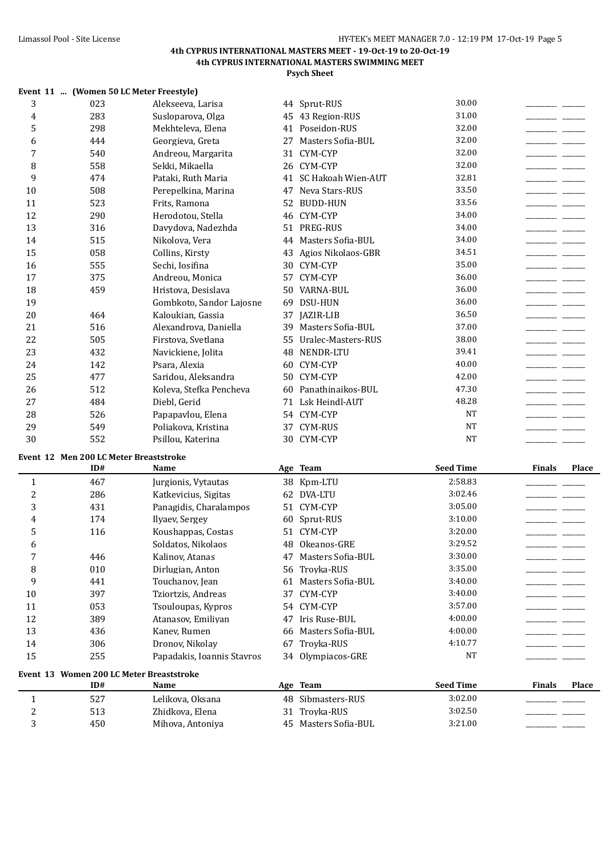|                  | Event 11  (Women 50 LC Meter Freestyle)  |                            |    |                       |                  |               |       |
|------------------|------------------------------------------|----------------------------|----|-----------------------|------------------|---------------|-------|
| 3                | 023                                      | Alekseeva, Larisa          |    | 44 Sprut-RUS          | 30.00            |               |       |
| 4                | 283                                      | Susloparova, Olga          |    | 45 43 Region-RUS      | 31.00            |               |       |
| 5                | 298                                      | Mekhteleva, Elena          |    | 41 Poseidon-RUS       | 32.00            |               |       |
| 6                | 444                                      | Georgieva, Greta           | 27 | Masters Sofia-BUL     | 32.00            |               |       |
| 7                | 540                                      | Andreou, Margarita         |    | 31 CYM-CYP            | 32.00            |               |       |
| 8                | 558                                      | Sekki, Mikaella            |    | 26 CYM-CYP            | 32.00            |               |       |
| 9                | 474                                      | Pataki, Ruth Maria         |    | 41 SC Hakoah Wien-AUT | 32.81            |               |       |
| 10               | 508                                      | Perepelkina, Marina        |    | 47 Neva Stars-RUS     | 33.50            |               |       |
| 11               | 523                                      | Frits, Ramona              |    | 52 BUDD-HUN           | 33.56            |               |       |
| 12               | 290                                      | Herodotou, Stella          |    | 46 CYM-CYP            | 34.00            |               |       |
| 13               | 316                                      | Davydova, Nadezhda         |    | 51 PREG-RUS           | 34.00            |               |       |
| 14               | 515                                      | Nikolova, Vera             |    | 44 Masters Sofia-BUL  | 34.00            |               |       |
| 15               | 058                                      | Collins, Kirsty            |    | 43 Agios Nikolaos-GBR | 34.51            |               |       |
| 16               | 555                                      | Sechi, Iosifina            | 30 | CYM-CYP               | 35.00            |               |       |
| 17               | 375                                      | Andreou, Monica            |    | 57 CYM-CYP            | 36.00            |               |       |
| 18               | 459                                      | Hristova, Desislava        | 50 | VARNA-BUL             | 36.00            |               |       |
| 19               |                                          | Gombkoto, Sandor Lajosne   | 69 | <b>DSU-HUN</b>        | 36.00            |               |       |
| 20               | 464                                      | Kaloukian, Gassia          | 37 | <b>JAZIR-LIB</b>      | 36.50            |               |       |
| 21               | 516                                      | Alexandrova, Daniella      | 39 | Masters Sofia-BUL     | 37.00            |               |       |
| 22               | 505                                      | Firstova, Svetlana         | 55 | Uralec-Masters-RUS    | 38.00            |               |       |
| 23               | 432                                      | Navickiene, Jolita         | 48 | NENDR-LTU             | 39.41            |               |       |
| 24               | 142                                      | Psara, Alexia              |    | 60 CYM-CYP            | 40.00            |               |       |
| 25               | 477                                      | Saridou, Aleksandra        |    | 50 CYM-CYP            | 42.00            |               |       |
| 26               | 512                                      | Koleva, Stefka Pencheva    |    | 60 Panathinaikos-BUL  | 47.30            |               |       |
| 27               | 484                                      | Diebl, Gerid               |    | 71 Lsk Heindl-AUT     | 48.28            |               |       |
| 28               | 526                                      | Papapavlou, Elena          |    | 54 CYM-CYP            | <b>NT</b>        |               |       |
| 29               | 549                                      | Poliakova, Kristina        |    | 37 CYM-RUS            | <b>NT</b>        |               |       |
| 30               | 552                                      | Psillou, Katerina          |    | 30 CYM-CYP            | <b>NT</b>        |               |       |
|                  | Event 12 Men 200 LC Meter Breaststroke   |                            |    |                       |                  |               |       |
|                  | ID#                                      | Name                       |    | Age Team              | <b>Seed Time</b> | <b>Finals</b> | Place |
| $\mathbf{1}$     | 467                                      | Jurgionis, Vytautas        |    | 38 Kpm-LTU            | 2:58.83          |               |       |
| $\overline{c}$   | 286                                      | Katkevicius, Sigitas       |    | 62 DVA-LTU            | 3:02.46          |               |       |
| 3                | 431                                      | Panagidis, Charalampos     |    | 51 CYM-CYP            | 3:05.00          |               |       |
| 4                | 174                                      | Ilyaev, Sergey             |    | 60 Sprut-RUS          | 3:10.00          |               |       |
| 5                | 116                                      | Koushappas, Costas         |    | 51 CYM-CYP            | 3:20.00          |               |       |
| 6                |                                          | Soldatos, Nikolaos         |    | 48 Okeanos-GRE        | 3:29.52          |               |       |
| 7                | 446                                      | Kalinov, Atanas            |    | 47 Masters Sofia-BUL  | 3:30.00          |               |       |
| 8                | 010                                      | Dirlugian, Anton           |    | 56 Troyka-RUS         | 3:35.00          |               |       |
| 9                | 441                                      | Touchanov, Jean            |    | 61 Masters Sofia-BUL  | 3:40.00          |               |       |
| 10               | 397                                      | Tziortzis, Andreas         | 37 | CYM-CYP               | 3:40.00          |               |       |
| 11               | 053                                      | Tsouloupas, Kypros         |    | 54 CYM-CYP            | 3:57.00          |               |       |
| 12               | 389                                      | Atanasov, Emiliyan         |    | 47 Iris Ruse-BUL      | 4:00.00          |               |       |
| 13               | 436                                      | Kanev, Rumen               | 66 | Masters Sofia-BUL     | 4:00.00          |               |       |
| 14               | 306                                      | Dronov, Nikolay            |    | 67 Troyka-RUS         | 4:10.77          |               |       |
| 15               | 255                                      | Papadakis, Ioannis Stavros |    | 34 Olympiacos-GRE     | <b>NT</b>        |               |       |
|                  |                                          |                            |    |                       |                  |               |       |
|                  | Event 13 Women 200 LC Meter Breaststroke |                            |    |                       |                  |               |       |
|                  | ID#                                      | Name                       |    | Age Team              | <b>Seed Time</b> | <b>Finals</b> | Place |
| $\mathbf{1}$     | 527                                      | Lelikova, Oksana           |    | 48 Sibmasters-RUS     | 3:02.00          |               |       |
| $\boldsymbol{2}$ | 513                                      | Zhidkova, Elena            |    | 31 Troyka-RUS         | 3:02.50          |               |       |
| 3                | 450                                      | Mihova, Antoniya           |    | 45 Masters Sofia-BUL  | 3:21.00          |               |       |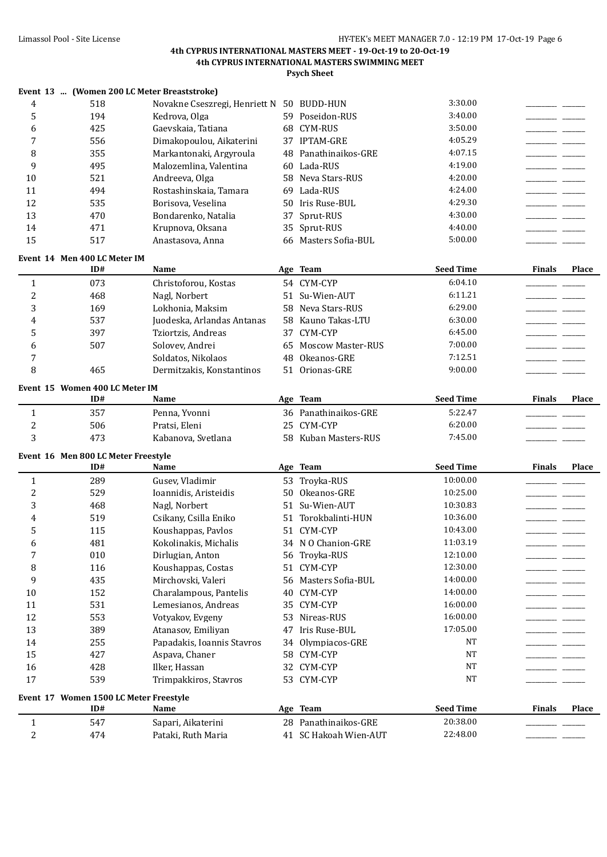|                |                                        | Event 13  (Women 200 LC Meter Breaststroke) |    |                       |                  |               |       |
|----------------|----------------------------------------|---------------------------------------------|----|-----------------------|------------------|---------------|-------|
| $\overline{4}$ | 518                                    | Novakne Cseszregi, Henriett N 50 BUDD-HUN   |    |                       | 3:30.00          |               |       |
| 5              | 194                                    | Kedrova, Olga                               |    | 59 Poseidon-RUS       | 3:40.00          |               |       |
| 6              | 425                                    | Gaevskaia, Tatiana                          |    | 68 CYM-RUS            | 3:50.00          |               |       |
| 7              | 556                                    | Dimakopoulou, Aikaterini                    |    | 37 IPTAM-GRE          | 4:05.29          |               |       |
| 8              | 355                                    | Markantonaki, Argyroula                     |    | 48 Panathinaikos-GRE  | 4:07.15          |               |       |
| 9              | 495                                    | Malozemlina, Valentina                      |    | 60 Lada-RUS           | 4:19.00          |               |       |
| 10             | 521                                    | Andreeva, Olga                              |    | 58 Neva Stars-RUS     | 4:20.00          |               |       |
| 11             | 494                                    | Rostashinskaia, Tamara                      | 69 | Lada-RUS              | 4:24.00          |               |       |
| 12             | 535                                    | Borisova, Veselina                          |    | 50 Iris Ruse-BUL      | 4:29.30          |               |       |
| 13             | 470                                    | Bondarenko, Natalia                         | 37 | Sprut-RUS             | 4:30.00          |               |       |
| 14             | 471                                    | Krupnova, Oksana                            |    | 35 Sprut-RUS          | 4:40.00          |               |       |
| 15             | 517                                    | Anastasova, Anna                            |    | 66 Masters Sofia-BUL  | 5:00.00          |               |       |
|                |                                        |                                             |    |                       |                  |               |       |
|                | Event 14 Men 400 LC Meter IM<br>ID#    | Name                                        |    | Age Team              | <b>Seed Time</b> | <b>Finals</b> | Place |
| $\mathbf{1}$   | 073                                    | Christoforou, Kostas                        |    | 54 CYM-CYP            | 6:04.10          |               |       |
| 2              | 468                                    | Nagl, Norbert                               |    | 51 Su-Wien-AUT        | 6:11.21          |               |       |
| 3              | 169                                    | Lokhonia, Maksim                            |    | 58 Neva Stars-RUS     | 6:29.00          |               |       |
| 4              | 537                                    | Juodeska, Arlandas Antanas                  |    | 58 Kauno Takas-LTU    | 6:30.00          |               |       |
| 5              | 397                                    | Tziortzis, Andreas                          |    | 37 CYM-CYP            | 6:45.00          |               |       |
|                |                                        |                                             |    |                       | 7:00.00          |               |       |
| 6              | 507                                    | Solovev, Andrei<br>Soldatos, Nikolaos       |    | 65 Moscow Master-RUS  | 7:12.51          |               |       |
| 7              |                                        |                                             |    | 48 Okeanos-GRE        | 9:00.00          |               |       |
| 8              | 465                                    | Dermitzakis, Konstantinos                   |    | 51 Orionas-GRE        |                  |               |       |
|                | Event 15 Women 400 LC Meter IM         |                                             |    |                       |                  |               |       |
|                | ID#                                    | Name                                        |    | Age Team              | <b>Seed Time</b> | <b>Finals</b> | Place |
| $\mathbf{1}$   | 357                                    | Penna, Yvonni                               |    | 36 Panathinaikos-GRE  | 5:22.47          |               |       |
| 2              | 506                                    | Pratsi, Eleni                               |    | 25 CYM-CYP            | 6:20.00          |               |       |
| 3              | 473                                    | Kabanova, Svetlana                          |    | 58 Kuban Masters-RUS  | 7:45.00          |               |       |
|                | Event 16 Men 800 LC Meter Freestyle    |                                             |    |                       |                  |               |       |
|                | ID#                                    | Name                                        |    | Age Team              | <b>Seed Time</b> | <b>Finals</b> | Place |
| $\mathbf{1}$   | 289                                    | Gusev, Vladimir                             |    | 53 Trovka-RUS         | 10:00.00         |               |       |
| $\overline{2}$ | 529                                    | Ioannidis, Aristeidis                       |    | 50 Okeanos-GRE        | 10:25.00         |               |       |
| 3              | 468                                    | Nagl, Norbert                               |    | 51 Su-Wien-AUT        | 10:30.83         |               |       |
| 4              | 519                                    | Csikany, Csilla Eniko                       |    | 51 Torokbalinti-HUN   | 10:36.00         |               |       |
| 5              | 115                                    | Koushappas, Pavlos                          |    | 51 CYM-CYP            | 10:43.00         |               |       |
| 6              | 481                                    | Kokolinakis, Michalis                       |    | 34 N O Chanion-GRE    | 11:03.19         |               |       |
| 7              | 010                                    | Dirlugian, Anton                            |    | 56 Troyka-RUS         | 12:10.00         |               |       |
| 8              | 116                                    | Koushappas, Costas                          |    | 51 CYM-CYP            | 12:30.00         |               |       |
| 9              | 435                                    | Mirchovski, Valeri                          |    | 56 Masters Sofia-BUL  | 14:00.00         |               |       |
| 10             | 152                                    | Charalampous, Pantelis                      |    | 40 CYM-CYP            | 14:00.00         |               |       |
| 11             | 531                                    | Lemesianos, Andreas                         |    | 35 CYM-CYP            | 16:00.00         |               |       |
| 12             | 553                                    | Votyakov, Evgeny                            | 53 | Nireas-RUS            | 16:00.00         |               |       |
| 13             | 389                                    | Atanasov, Emiliyan                          |    | 47 Iris Ruse-BUL      | 17:05.00         |               |       |
|                |                                        |                                             |    |                       | NT               |               |       |
| 14             | 255                                    | Papadakis, Ioannis Stavros                  |    | 34 Olympiacos-GRE     |                  |               |       |
| 15             | 427                                    | Aspava, Chaner                              |    | 58 CYM-CYP            | <b>NT</b>        |               |       |
| 16             | 428                                    | Ilker, Hassan                               |    | 32 CYM-CYP            | <b>NT</b>        |               |       |
| 17             | 539                                    | Trimpakkiros, Stavros                       |    | 53 CYM-CYP            | <b>NT</b>        |               |       |
|                | Event 17 Women 1500 LC Meter Freestyle |                                             |    |                       |                  |               |       |
|                | ID#                                    | Name                                        |    | Age Team              | <b>Seed Time</b> | <b>Finals</b> | Place |
| $\mathbf{1}$   | 547                                    | Sapari, Aikaterini                          |    | 28 Panathinaikos-GRE  | 20:38.00         |               |       |
| $\overline{c}$ | 474                                    | Pataki, Ruth Maria                          |    | 41 SC Hakoah Wien-AUT | 22:48.00         |               |       |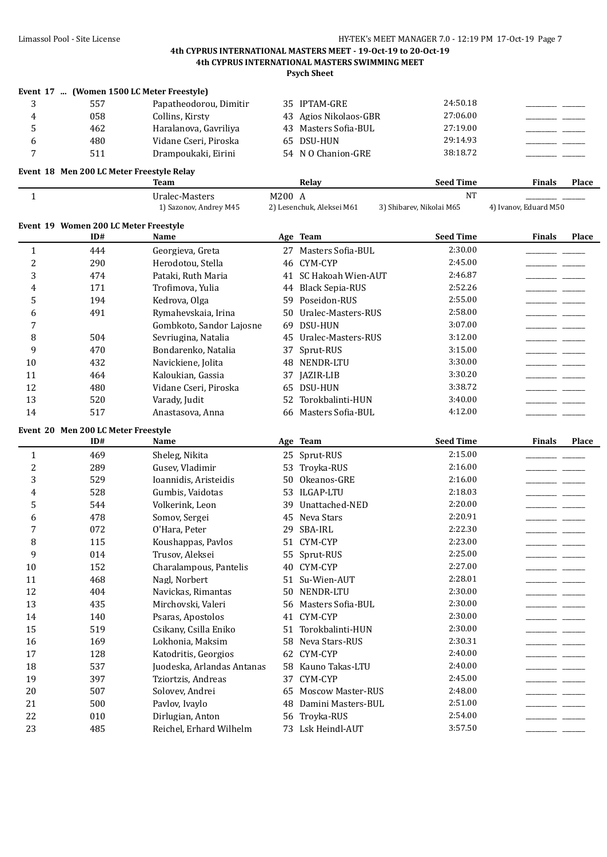**Psych Sheet**

|              |     | Event 17  (Women 1500 LC Meter Freestyle) |                       |          |  |
|--------------|-----|-------------------------------------------|-----------------------|----------|--|
|              | 557 | Papatheodorou, Dimitir                    | 35 IPTAM-GRE          | 24:50.18 |  |
|              | 058 | Collins, Kirsty                           | 43 Agios Nikolaos-GBR | 27:06.00 |  |
|              | 462 | Haralanova, Gavriliya                     | 43 Masters Sofia-BUL  | 27:19.00 |  |
|              | 480 | Vidane Cseri, Piroska                     | 65 DSU-HUN            | 29:14.93 |  |
| $\mathbf{r}$ | 511 | Drampoukaki, Eirini                       | 54 N O Chanion-GRE    | 38:18.72 |  |

## **Event 18 Men 200 LC Meter Freestyle Relay**

|              |                                            | <b>Team</b>                              |        | Relay                     | <b>Seed Time</b>                      | <b>Finals</b>         | Place |
|--------------|--------------------------------------------|------------------------------------------|--------|---------------------------|---------------------------------------|-----------------------|-------|
| $\mathbf{1}$ |                                            | Uralec-Masters<br>1) Sazonov, Andrey M45 | M200 A | 2) Lesenchuk, Aleksei M61 | <b>NT</b><br>3) Shibarev, Nikolai M65 | 4) Ivanov, Eduard M50 |       |
| Event 19     | <b>Women 200 LC Meter Freestyle</b><br>ID# | Name                                     | Age    | Team                      | <b>Seed Time</b>                      | <b>Finals</b>         | Place |
|              | 444                                        | Georgieva, Greta                         | 27     | Masters Sofia-BUL         | 2:30.00                               |                       |       |
| 2            | 290                                        | Herodotou, Stella                        | 46     | CYM-CYP                   | 2:45.00                               |                       |       |
| 3            | 474                                        | Pataki, Ruth Maria                       | 41     | <b>SC Hakoah Wien-AUT</b> | 2:46.87                               |                       |       |
| 4            | 171                                        | Trofimova, Yulia                         | 44     | <b>Black Sepia-RUS</b>    | 2:52.26                               |                       |       |
| 5            | 194                                        | Kedrova, Olga                            | 59     | Poseidon-RUS              | 2:55.00                               |                       |       |
| 6            | 491                                        | Rymahevskaia, Irina                      | 50     | Uralec-Masters-RUS        | 2:58.00                               |                       |       |
| 7            |                                            | Gombkoto, Sandor Lajosne                 | 69     | DSU-HUN                   | 3:07.00                               |                       |       |
| 8            | 504                                        | Sevriugina, Natalia                      | 45     | Uralec-Masters-RUS        | 3:12.00                               |                       |       |
| 9            | 470                                        | Bondarenko, Natalia                      | 37     | Sprut-RUS                 | 3:15.00                               |                       |       |
| 10           | 432                                        | Navickiene, Jolita                       | 48     | NENDR-LTU                 | 3:30.00                               |                       |       |
| 11           | 464                                        | Kaloukian, Gassia                        | 37     | JAZIR-LIB                 | 3:30.20                               |                       |       |
| 12           | 480                                        | Vidane Cseri, Piroska                    | 65     | <b>DSU-HUN</b>            | 3:38.72                               |                       |       |
| 13           | 520                                        | Varady, Judit                            | 52     | Torokbalinti-HUN          | 3:40.00                               |                       |       |
| 14           | 517                                        | Anastasova, Anna                         | 66     | Masters Sofia-BUL         | 4:12.00                               |                       |       |
|              | Event 20 Men 200 LC Meter Freestyle        |                                          |        |                           |                                       |                       |       |
|              | ID#                                        | Name                                     | Age    | <b>Team</b>               | <b>Seed Time</b>                      | <b>Finals</b>         | Place |
|              | 469                                        | Sheleg, Nikita                           |        | 25 Sprut-RUS              | 2:15.00                               |                       |       |
|              | $\Omega$                                   | $\alpha$ $\mathbf{m}$ $\mathbf{u}$       |        | $F \cap m \cup N$         | 2.100                                 |                       |       |

| 1                       | 469 | Sheleg, Nikita             | 25 | Sprut-RUS                | 2:15.00 |  |
|-------------------------|-----|----------------------------|----|--------------------------|---------|--|
| 2                       | 289 | Gusev, Vladimir            | 53 | Troyka-RUS               | 2:16.00 |  |
| 3                       | 529 | Ioannidis, Aristeidis      | 50 | Okeanos-GRE              | 2:16.00 |  |
| $\overline{\mathbf{4}}$ | 528 | Gumbis, Vaidotas           | 53 | ILGAP-LTU                | 2:18.03 |  |
| 5                       | 544 | Volkerink, Leon            | 39 | Unattached-NED           | 2:20.00 |  |
| 6                       | 478 | Somov, Sergei              | 45 | Neva Stars               | 2:20.91 |  |
| 7                       | 072 | O'Hara, Peter              | 29 | <b>SBA-IRL</b>           | 2:22.30 |  |
| 8                       | 115 | Koushappas, Paylos         | 51 | CYM-CYP                  | 2:23.00 |  |
| 9                       | 014 | Trusov, Aleksei            | 55 | Sprut-RUS                | 2:25.00 |  |
| 10                      | 152 | Charalampous, Pantelis     | 40 | CYM-CYP                  | 2:27.00 |  |
| 11                      | 468 | Nagl, Norbert              | 51 | Su-Wien-AUT              | 2:28.01 |  |
| 12                      | 404 | Navickas, Rimantas         | 50 | NENDR-LTU                | 2:30.00 |  |
| 13                      | 435 | Mirchovski, Valeri         | 56 | Masters Sofia-BUL        | 2:30.00 |  |
| 14                      | 140 | Psaras, Apostolos          | 41 | CYM-CYP                  | 2:30.00 |  |
| 15                      | 519 | Csikany, Csilla Eniko      | 51 | Torokbalinti-HUN         | 2:30.00 |  |
| 16                      | 169 | Lokhonia, Maksim           | 58 | Neva Stars-RUS           | 2:30.31 |  |
| 17                      | 128 | Katodritis, Georgios       | 62 | CYM-CYP                  | 2:40.00 |  |
| 18                      | 537 | Juodeska, Arlandas Antanas | 58 | Kauno Takas-LTU          | 2:40.00 |  |
| 19                      | 397 | Tziortzis, Andreas         | 37 | CYM-CYP                  | 2:45.00 |  |
| 20                      | 507 | Solovev, Andrei            | 65 | <b>Moscow Master-RUS</b> | 2:48.00 |  |
| 21                      | 500 | Pavlov, Ivaylo             | 48 | Damini Masters-BUL       | 2:51.00 |  |
| 22                      | 010 | Dirlugian, Anton           | 56 | Troyka-RUS               | 2:54.00 |  |
| 23                      | 485 | Reichel, Erhard Wilhelm    | 73 | Lsk Heindl-AUT           | 3:57.50 |  |
|                         |     |                            |    |                          |         |  |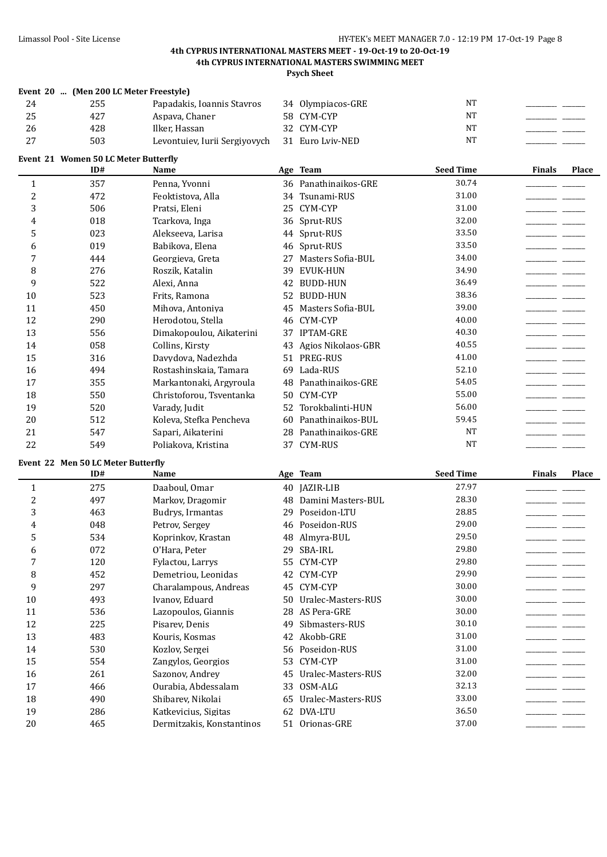**Psych Sheet**

|    | Event 20  (Men 200 LC Meter Freestyle) |                               |                   |    |  |
|----|----------------------------------------|-------------------------------|-------------------|----|--|
| 24 | 255                                    | Papadakis, Ioannis Stavros    | 34 Olympiacos-GRE | NT |  |
| 25 | 427                                    | Aspava, Chaner                | 58 CYM-CYP        | NT |  |
| 26 | 428                                    | Ilker. Hassan                 | 32 CYM-CYP        | NT |  |
| ∠  | 503                                    | Levontuiev, Iurii Sergiyovych | 31 Euro Lviv-NED  | NT |  |

**Event 21 Women 50 LC Meter Butterfly**

|                | ID#                                | Name                     |    | Age Team              | <b>Seed Time</b> | <b>Finals</b> | <b>Place</b> |
|----------------|------------------------------------|--------------------------|----|-----------------------|------------------|---------------|--------------|
| $\mathbf{1}$   | 357                                | Penna, Yvonni            |    | 36 Panathinaikos-GRE  | 30.74            |               |              |
| $\overline{2}$ | 472                                | Feoktistova, Alla        |    | 34 Tsunami-RUS        | 31.00            |               |              |
| 3              | 506                                | Pratsi, Eleni            |    | 25 CYM-CYP            | 31.00            |               |              |
| 4              | 018                                | Tcarkova, Inga           |    | 36 Sprut-RUS          | 32.00            |               |              |
| 5              | 023                                | Alekseeva, Larisa        |    | 44 Sprut-RUS          | 33.50            |               |              |
| 6              | 019                                | Babikova, Elena          |    | 46 Sprut-RUS          | 33.50            |               |              |
| $\overline{7}$ | 444                                | Georgieva, Greta         | 27 | Masters Sofia-BUL     | 34.00            |               |              |
| 8              | 276                                | Roszik, Katalin          | 39 | <b>EVUK-HUN</b>       | 34.90            |               |              |
| 9              | 522                                | Alexi, Anna              |    | 42 BUDD-HUN           | 36.49            |               |              |
| 10             | 523                                | Frits, Ramona            |    | 52 BUDD-HUN           | 38.36            |               |              |
| 11             | 450                                | Mihova, Antoniya         | 45 | Masters Sofia-BUL     | 39.00            |               |              |
| 12             | 290                                | Herodotou, Stella        |    | 46 CYM-CYP            | 40.00            |               |              |
| 13             | 556                                | Dimakopoulou, Aikaterini |    | 37 IPTAM-GRE          | 40.30            |               |              |
| 14             | 058                                | Collins, Kirsty          | 43 | Agios Nikolaos-GBR    | 40.55            |               |              |
| 15             | 316                                | Davydova, Nadezhda       |    | 51 PREG-RUS           | 41.00            |               |              |
| 16             | 494                                | Rostashinskaia, Tamara   |    | 69 Lada-RUS           | 52.10            |               |              |
| 17             | 355                                | Markantonaki, Argyroula  |    | 48 Panathinaikos-GRE  | 54.05            |               |              |
| 18             | 550                                | Christoforou, Tsventanka |    | 50 CYM-CYP            | 55.00            |               |              |
| 19             | 520                                | Varady, Judit            |    | 52 Torokbalinti-HUN   | 56.00            |               |              |
| 20             | 512                                | Koleva, Stefka Pencheva  | 60 | Panathinaikos-BUL     | 59.45            |               |              |
| 21             | 547                                | Sapari, Aikaterini       |    | 28 Panathinaikos-GRE  | <b>NT</b>        |               |              |
| 22             | 549                                | Poliakova, Kristina      |    | 37 CYM-RUS            | NT               |               |              |
|                | Event 22 Men 50 LC Meter Butterfly |                          |    |                       |                  |               |              |
|                | ID#                                | Name                     |    | Age Team              | <b>Seed Time</b> | <b>Finals</b> | Place        |
| $\mathbf{1}$   | 275                                | Daaboul, Omar            |    | 40 JAZIR-LIB          | 27.97            |               |              |
| $\overline{c}$ | 497                                | Markov, Dragomir         |    | 48 Damini Masters-BUL | 28.30            |               |              |
| 3              | 463                                | Budrys, Irmantas         |    | 29 Poseidon-LTU       | 28.85            |               |              |
| 4              | 048                                | Petrov, Sergey           |    | 46 Poseidon-RUS       | 29.00            |               |              |
| 5              | 534                                | Koprinkov, Krastan       |    | 48 Almyra-BUL         | 29.50            |               |              |
| 6              | 072                                | O'Hara, Peter            | 29 | SBA-IRL               | 29.80            |               |              |
| 7              | 120                                | Fylactou, Larrys         |    | 55 CYM-CYP            | 29.80            |               |              |
| 8              | 452                                | Demetriou, Leonidas      |    | 42 CYM-CYP            | 29.90            |               |              |
| 9              | 297                                | Charalampous, Andreas    |    | 45 CYM-CYP            | 30.00            |               |              |
| 10             | 493                                | Ivanov, Eduard           |    | 50 Uralec-Masters-RUS | 30.00            |               |              |
| 11             | 536                                | Lazopoulos, Giannis      |    | 28 AS Pera-GRE        | 30.00            |               |              |
| 12             | 225                                | Pisarev, Denis           |    | 49 Sibmasters-RUS     | 30.10            |               |              |
| 13             | 483                                | Kouris, Kosmas           |    | 42 Akobb-GRE          | 31.00            |               |              |
| 14             | 530                                | Kozlov, Sergei           |    | 56 Poseidon-RUS       | 31.00            |               |              |
| 15             | 554                                | Zangylos, Georgios       |    | 53 CYM-CYP            | 31.00            |               |              |
| 16             | 261                                | Sazonov, Andrey          |    | 45 Uralec-Masters-RUS | 32.00            |               |              |
| 17             | 466                                | Ourabia, Abdessalam      |    | 33 OSM-ALG            | 32.13            |               |              |
| 18             | 490                                | Shibarev, Nikolai        |    | 65 Uralec-Masters-RUS | 33.00            |               |              |
|                |                                    |                          |    |                       |                  |               |              |
| 19             | 286                                | Katkevicius, Sigitas     |    | 62 DVA-LTU            | 36.50            |               |              |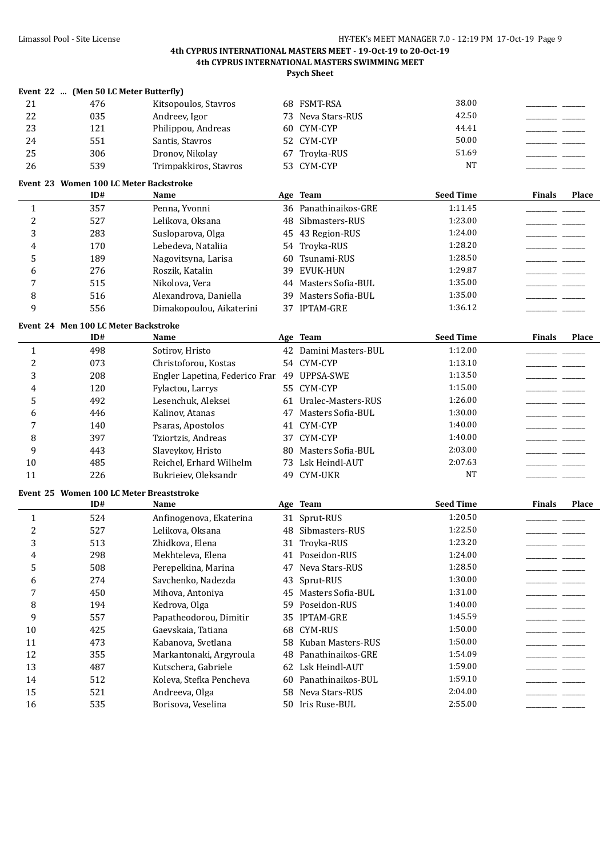**Psych Sheet**

|          | Event 22  (Men 50 LC Meter Butterfly) |                       |     |                      |                  |               |       |
|----------|---------------------------------------|-----------------------|-----|----------------------|------------------|---------------|-------|
| 21       | 476                                   | Kitsopoulos, Stavros  | 68. | <b>FSMT-RSA</b>      | 38.00            |               |       |
| 22       | 035                                   | Andreev. Igor         |     | 73 Neva Stars-RUS    | 42.50            |               |       |
| 23       | 121                                   | Philippou, Andreas    |     | 60 CYM-CYP           | 44.41            |               |       |
| 24       | 551                                   | Santis, Stavros       |     | 52 CYM-CYP           | 50.00            |               |       |
| 25       | 306                                   | Dronov. Nikolav       |     | 67 Trovka-RUS        | 51.69            |               |       |
| 26       | 539                                   | Trimpakkiros, Stavros |     | 53 CYM-CYP           | <b>NT</b>        |               |       |
|          |                                       |                       |     |                      |                  |               |       |
| Event 23 | Women 100 LC Meter Backstroke         |                       |     |                      |                  |               |       |
|          | ID#                                   | <b>Name</b>           |     | Age Team             | <b>Seed Time</b> | <b>Finals</b> | Place |
|          | 357                                   | Penna, Yvonni         |     | 36 Panathinaikos-GRE | 1:11.45          |               |       |
| 2        | 527                                   | Lelikova, Oksana      |     | 48 Sibmasters-RUS    | 1:23.00          |               |       |
| 3        | 283                                   | Susloparova, Olga     | 45  | 43 Region-RUS        | 1:24.00          |               |       |
| 4        | 170                                   | Lebedeva, Nataliia    |     | 54 Trovka-RUS        | 1:28.20          |               |       |

| ້ | .                                                    | 1.04101100110011001      | $00 - 100$           |         |  |
|---|------------------------------------------------------|--------------------------|----------------------|---------|--|
|   | 276                                                  | Roszik, Katalin          | EVUK-HUN<br>39       | 1:29.87 |  |
|   | 515                                                  | Nikolova, Vera           | 44 Masters Sofia-BUL | 1:35.00 |  |
|   | 516                                                  | Alexandrova, Daniella    | 39 Masters Sofia-BUL | 1:35.00 |  |
|   | 556                                                  | Dimakopoulou. Aikaterini | 37 IPTAM-GRE         | 1:36.12 |  |
|   | $F_{\text{exact}}$ 24 Mea 400 LC Meteo De alestreles |                          |                      |         |  |

#### **Event 24 Men 100 LC Meter Backstroke**

|    | ID# | Name                           |     | Age Team              | <b>Seed Time</b> | <b>Finals</b> | Place |
|----|-----|--------------------------------|-----|-----------------------|------------------|---------------|-------|
|    | 498 | Sotirov, Hristo                |     | 42 Damini Masters-BUL | 1:12.00          |               |       |
| າ  | 073 | Christoforou, Kostas           |     | 54 CYM-CYP            | 1:13.10          |               |       |
| 3  | 208 | Engler Lapetina, Federico Frar |     | 49 UPPSA-SWE          | 1:13.50          |               |       |
| 4  | 120 | Fylactou, Larrys               |     | 55 CYM-CYP            | 1:15.00          |               |       |
|    | 492 | Lesenchuk, Aleksei             | 61  | Uralec-Masters-RUS    | 1:26.00          |               |       |
| 6  | 446 | Kalinov, Atanas                | 47  | Masters Sofia-BUL     | 1:30.00          |               |       |
|    | 140 | Psaras, Apostolos              | 41  | CYM-CYP               | 1:40.00          |               |       |
| 8  | 397 | Tziortzis, Andreas             |     | 37 CYM-CYP            | 1:40.00          |               |       |
| 9  | 443 | Slaveykov, Hristo              | 80. | Masters Sofia-BUL     | 2:03.00          |               |       |
| 10 | 485 | Reichel, Erhard Wilhelm        |     | 73 Lsk Heindl-AUT     | 2:07.63          |               |       |
| 11 | 226 | Bukrieiev, Oleksandr           |     | 49 CYM-UKR            | <b>NT</b>        |               |       |

## **Event 25 Women 100 LC Meter Breaststroke**

|    | ID# | Name                    |     | Age Team             | <b>Seed Time</b> | <b>Finals</b> | Place |
|----|-----|-------------------------|-----|----------------------|------------------|---------------|-------|
|    | 524 | Anfinogenova, Ekaterina |     | 31 Sprut-RUS         | 1:20.50          |               |       |
| 2  | 527 | Lelikova, Oksana        | 48  | Sibmasters-RUS       | 1:22.50          |               |       |
| 3  | 513 | Zhidkova, Elena         |     | 31 Trovka-RUS        | 1:23.20          |               |       |
| 4  | 298 | Mekhteleva, Elena       | 41  | Poseidon-RUS         | 1:24.00          |               |       |
| 5  | 508 | Perepelkina, Marina     | 47  | Neva Stars-RUS       | 1:28.50          |               |       |
| 6  | 274 | Savchenko, Nadezda      | 43  | Sprut-RUS            | 1:30.00          |               |       |
|    | 450 | Mihova, Antoniva        | 45  | Masters Sofia-BUL    | 1:31.00          |               |       |
| 8  | 194 | Kedrova, Olga           | 59. | Poseidon-RUS         | 1:40.00          |               |       |
| 9  | 557 | Papatheodorou, Dimitir  |     | 35 IPTAM-GRE         | 1:45.59          |               |       |
| 10 | 425 | Gaevskaia, Tatiana      |     | 68 CYM-RUS           | 1:50.00          |               |       |
| 11 | 473 | Kabanova, Svetlana      |     | 58 Kuban Masters-RUS | 1:50.00          |               |       |
| 12 | 355 | Markantonaki, Argyroula |     | 48 Panathinaikos-GRE | 1:54.09          |               |       |
| 13 | 487 | Kutschera, Gabriele     |     | 62 Lsk Heindl-AUT    | 1:59.00          |               |       |
| 14 | 512 | Koleva, Stefka Pencheva | 60. | Panathinaikos-BUL    | 1:59.10          |               |       |
| 15 | 521 | Andreeva, Olga          |     | 58 Neva Stars-RUS    | 2:04.00          |               |       |
| 16 | 535 | Borisova, Veselina      |     | 50 Iris Ruse-BUL     | 2:55.00          |               |       |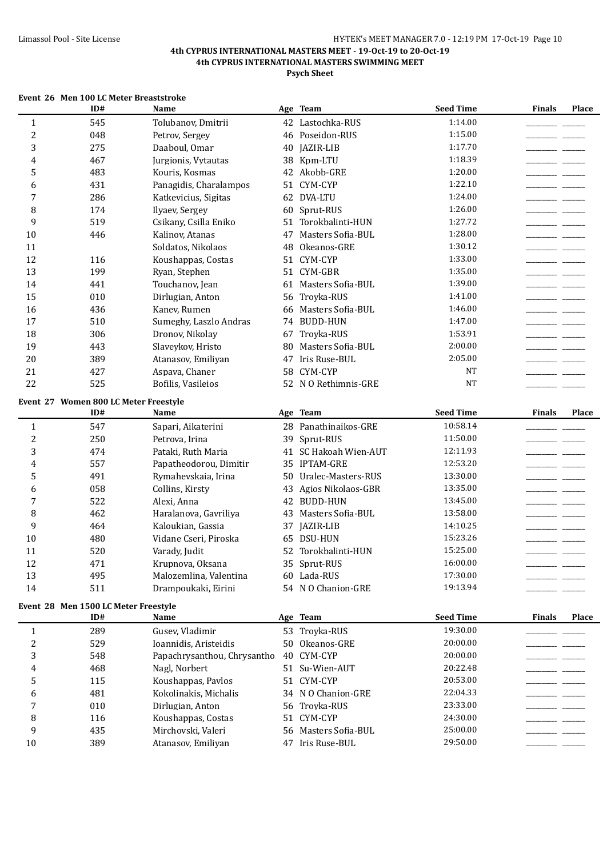|                | Event 26 Men 100 LC Meter Breaststroke |                             |    |                       |                  |                        |       |
|----------------|----------------------------------------|-----------------------------|----|-----------------------|------------------|------------------------|-------|
|                | ID#                                    | Name                        |    | Age Team              | <b>Seed Time</b> | <b>Finals</b>          | Place |
| $\mathbf{1}$   | 545                                    | Tolubanov, Dmitrii          |    | 42 Lastochka-RUS      | 1:14.00          |                        |       |
| $\overline{c}$ | 048                                    | Petrov, Sergey              |    | 46 Poseidon-RUS       | 1:15.00          |                        |       |
| 3              | 275                                    | Daaboul, Omar               | 40 | JAZIR-LIB             | 1:17.70          |                        |       |
| 4              | 467                                    | Jurgionis, Vytautas         |    | 38 Kpm-LTU            | 1:18.39          |                        |       |
| 5              | 483                                    | Kouris, Kosmas              |    | 42 Akobb-GRE          | 1:20.00          |                        |       |
| 6              | 431                                    | Panagidis, Charalampos      |    | 51 CYM-CYP            | 1:22.10          |                        |       |
| 7              | 286                                    | Katkevicius, Sigitas        |    | 62 DVA-LTU            | 1:24.00          |                        |       |
| 8              | 174                                    | Ilyaev, Sergey              | 60 | Sprut-RUS             | 1:26.00          |                        |       |
| 9              | 519                                    | Csikany, Csilla Eniko       | 51 | Torokbalinti-HUN      | 1:27.72          |                        |       |
| 10             | 446                                    | Kalinov, Atanas             | 47 | Masters Sofia-BUL     | 1:28.00          |                        |       |
| 11             |                                        | Soldatos, Nikolaos          | 48 | Okeanos-GRE           | 1:30.12          |                        |       |
| 12             | 116                                    | Koushappas, Costas          |    | 51 CYM-CYP            | 1:33.00          |                        |       |
| 13             | 199                                    | Ryan, Stephen               |    | 51 CYM-GBR            | 1:35.00          |                        |       |
| 14             | 441                                    | Touchanov, Jean             |    | 61 Masters Sofia-BUL  | 1:39.00          |                        |       |
| 15             | 010                                    | Dirlugian, Anton            |    | 56 Troyka-RUS         | 1:41.00          |                        |       |
| 16             | 436                                    | Kanev, Rumen                |    | 66 Masters Sofia-BUL  | 1:46.00          | and the control of the |       |
| 17             | 510                                    | Sumeghy, Laszlo Andras      |    | 74 BUDD-HUN           | 1:47.00          | and the control of     |       |
| 18             | 306                                    | Dronov, Nikolay             |    | 67 Troyka-RUS         | 1:53.91          |                        |       |
| 19             | 443                                    | Slaveykov, Hristo           | 80 | Masters Sofia-BUL     | 2:00.00          |                        |       |
| 20             | 389                                    | Atanasov, Emiliyan          |    | 47 Iris Ruse-BUL      | 2:05.00          |                        |       |
| 21             | 427                                    | Aspava, Chaner              | 58 | CYM-CYP               | <b>NT</b>        |                        |       |
| 22             | 525                                    | Bofilis, Vasileios          |    | 52 N O Rethimnis-GRE  | <b>NT</b>        |                        |       |
|                | Event 27 Women 800 LC Meter Freestyle  |                             |    |                       |                  |                        |       |
|                | ID#                                    | Name                        |    | Age Team              | <b>Seed Time</b> | <b>Finals</b>          | Place |
| $\mathbf{1}$   | 547                                    | Sapari, Aikaterini          |    | 28 Panathinaikos-GRE  | 10:58.14         |                        |       |
| $\overline{c}$ | 250                                    | Petrova, Irina              |    | 39 Sprut-RUS          | 11:50.00         |                        |       |
| 3              | 474                                    | Pataki, Ruth Maria          |    | 41 SC Hakoah Wien-AUT | 12:11.93         |                        |       |
| 4              | 557                                    | Papatheodorou, Dimitir      |    | 35 IPTAM-GRE          | 12:53.20         |                        |       |
| 5              | 491                                    | Rymahevskaia, Irina         |    | 50 Uralec-Masters-RUS | 13:30.00         |                        |       |
| 6              | 058                                    | Collins, Kirsty             |    | 43 Agios Nikolaos-GBR | 13:35.00         |                        |       |
| 7              | 522                                    | Alexi, Anna                 |    | 42 BUDD-HUN           | 13:45.00         |                        |       |
| 8              | 462                                    | Haralanova, Gavriliya       | 43 | Masters Sofia-BUL     | 13:58.00         |                        |       |
| 9              | 464                                    | Kaloukian, Gassia           |    | 37 JAZIR-LIB          | 14:10.25         |                        |       |
| 10             | 480                                    | Vidane Cseri, Piroska       |    | 65 DSU-HUN            | 15:23.26         |                        |       |
| 11             | 520                                    | Varady, Judit               |    | 52 Torokbalinti-HUN   | 15:25.00         |                        |       |
| 12             | 471                                    | Krupnova, Oksana            |    | 35 Sprut-RUS          | 16:00.00         |                        |       |
| 13             | 495                                    | Malozemlina, Valentina      |    | 60 Lada-RUS           | 17:30.00         |                        |       |
| 14             | 511                                    | Drampoukaki, Eirini         |    | 54 N O Chanion-GRE    | 19:13.94         |                        |       |
|                | Event 28 Men 1500 LC Meter Freestyle   |                             |    |                       |                  |                        |       |
|                | ID#                                    | Name                        |    | Age Team              | <b>Seed Time</b> | <b>Finals</b>          | Place |
| 1              | 289                                    | Gusev, Vladimir             |    | 53 Troyka-RUS         | 19:30.00         |                        |       |
| 2              | 529                                    | Ioannidis, Aristeidis       |    | 50 Okeanos-GRE        | 20:00.00         |                        |       |
| 3              | 548                                    | Papachrysanthou, Chrysantho |    | 40 CYM-CYP            | 20:00.00         |                        |       |
| 4              | 468                                    | Nagl, Norbert               |    | 51 Su-Wien-AUT        | 20:22.48         |                        |       |
| 5              | 115                                    | Koushappas, Pavlos          |    | 51 CYM-CYP            | 20:53.00         |                        |       |
| 6              | 481                                    | Kokolinakis, Michalis       |    | 34 N O Chanion-GRE    | 22:04.33         |                        |       |
| 7              | 010                                    | Dirlugian, Anton            |    | 56 Troyka-RUS         | 23:33.00         |                        |       |
| 8              | 116                                    | Koushappas, Costas          |    | 51 CYM-CYP            | 24:30.00         |                        |       |
| 9              | 435                                    | Mirchovski, Valeri          |    | 56 Masters Sofia-BUL  | 25:00.00         |                        |       |
| 10             | 389                                    | Atanasov, Emiliyan          |    | 47 Iris Ruse-BUL      | 29:50.00         |                        |       |
|                |                                        |                             |    |                       |                  |                        |       |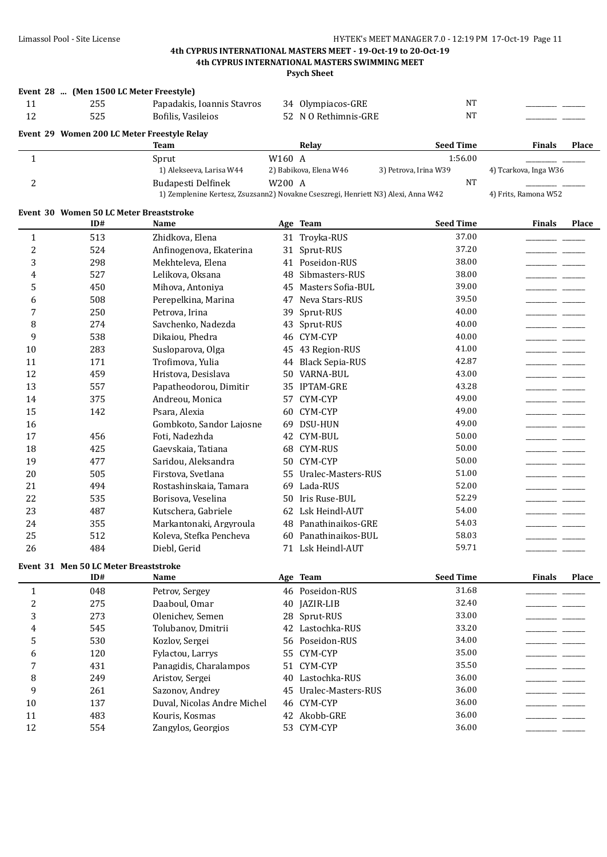|                | Event 28  (Men 1500 LC Meter Freestyle)     |                                                                                   |        |                        |                       |                                                                                                                                                                                                                                      |              |
|----------------|---------------------------------------------|-----------------------------------------------------------------------------------|--------|------------------------|-----------------------|--------------------------------------------------------------------------------------------------------------------------------------------------------------------------------------------------------------------------------------|--------------|
| 11             | 255                                         | Papadakis, Ioannis Stavros                                                        |        | 34 Olympiacos-GRE      | <b>NT</b>             |                                                                                                                                                                                                                                      |              |
| 12             | 525                                         | Bofilis, Vasileios                                                                |        | 52 N O Rethimnis-GRE   | <b>NT</b>             |                                                                                                                                                                                                                                      |              |
|                | Event 29 Women 200 LC Meter Freestyle Relay |                                                                                   |        |                        |                       |                                                                                                                                                                                                                                      |              |
|                |                                             | Team                                                                              |        | Relay                  | <b>Seed Time</b>      | <b>Finals</b>                                                                                                                                                                                                                        | <b>Place</b> |
| $\mathbf{1}$   |                                             | Sprut                                                                             | W160 A |                        | 1:56.00               |                                                                                                                                                                                                                                      |              |
|                |                                             | 1) Alekseeva, Larisa W44                                                          |        | 2) Babikova, Elena W46 | 3) Petrova, Irina W39 | 4) Tcarkova, Inga W36                                                                                                                                                                                                                |              |
| $\overline{c}$ |                                             | <b>Budapesti Delfinek</b>                                                         | W200 A |                        | <b>NT</b>             |                                                                                                                                                                                                                                      |              |
|                |                                             | 1) Zemplenine Kertesz, Zsuzsann2) Novakne Cseszregi, Henriett N3) Alexi, Anna W42 |        |                        |                       | 4) Frits, Ramona W52                                                                                                                                                                                                                 |              |
|                | Event 30 Women 50 LC Meter Breaststroke     |                                                                                   |        |                        |                       |                                                                                                                                                                                                                                      |              |
|                | ID#                                         | Name                                                                              |        | Age Team               | <b>Seed Time</b>      | <b>Finals</b>                                                                                                                                                                                                                        | Place        |
| 1              | 513                                         | Zhidkova, Elena                                                                   |        | 31 Troyka-RUS          | 37.00                 |                                                                                                                                                                                                                                      |              |
| 2              | 524                                         | Anfinogenova, Ekaterina                                                           |        | 31 Sprut-RUS           | 37.20                 |                                                                                                                                                                                                                                      |              |
| 3              | 298                                         | Mekhteleva, Elena                                                                 |        | 41 Poseidon-RUS        | 38.00                 | _______                                                                                                                                                                                                                              |              |
| 4              | 527                                         | Lelikova, Oksana                                                                  | 48     | Sibmasters-RUS         | 38.00                 |                                                                                                                                                                                                                                      |              |
| 5              | 450                                         | Mihova, Antoniya                                                                  | 45     | Masters Sofia-BUL      | 39.00                 |                                                                                                                                                                                                                                      |              |
| 6              | 508                                         | Perepelkina, Marina                                                               | 47     | Neva Stars-RUS         | 39.50                 |                                                                                                                                                                                                                                      |              |
| 7              | 250                                         | Petrova, Irina                                                                    | 39     | Sprut-RUS              | 40.00                 |                                                                                                                                                                                                                                      |              |
| 8              | 274                                         | Savchenko, Nadezda                                                                |        | 43 Sprut-RUS           | 40.00                 | <u> The Common School (1989)</u>                                                                                                                                                                                                     |              |
| 9              | 538                                         | Dikaiou, Phedra                                                                   |        | 46 CYM-CYP             | 40.00                 | <u> The Common State State State State State State State State State State State State State State State State State State State State State State State State State State State State State State State State State State State</u> |              |
| 10             | 283                                         | Susloparova, Olga                                                                 |        | 45 43 Region-RUS       | 41.00                 |                                                                                                                                                                                                                                      |              |
| 11             | 171                                         | Trofimova, Yulia                                                                  |        | 44 Black Sepia-RUS     | 42.87                 |                                                                                                                                                                                                                                      |              |
| 12             | 459                                         | Hristova, Desislava                                                               | 50     | <b>VARNA-BUL</b>       | 43.00                 |                                                                                                                                                                                                                                      |              |
| 13             | 557                                         | Papatheodorou, Dimitir                                                            |        | 35 IPTAM-GRE           | 43.28                 |                                                                                                                                                                                                                                      |              |
| 14             | 375                                         | Andreou, Monica                                                                   |        | 57 CYM-CYP             | 49.00                 |                                                                                                                                                                                                                                      |              |
| 15             | 142                                         | Psara, Alexia                                                                     |        | 60 CYM-CYP             | 49.00                 |                                                                                                                                                                                                                                      |              |
| 16             |                                             | Gombkoto, Sandor Lajosne                                                          |        | 69 DSU-HUN             | 49.00                 |                                                                                                                                                                                                                                      |              |
| 17             | 456                                         | Foti, Nadezhda                                                                    |        | 42 CYM-BUL             | 50.00                 |                                                                                                                                                                                                                                      |              |
| 18             | 425                                         | Gaevskaia, Tatiana                                                                |        | 68 CYM-RUS             | 50.00                 |                                                                                                                                                                                                                                      |              |
| 19             | 477                                         | Saridou, Aleksandra                                                               |        | 50 CYM-CYP             | 50.00                 |                                                                                                                                                                                                                                      |              |
| 20             | 505                                         | Firstova, Svetlana                                                                |        | 55 Uralec-Masters-RUS  | 51.00                 |                                                                                                                                                                                                                                      |              |
| 21             | 494                                         | Rostashinskaia, Tamara                                                            |        | 69 Lada-RUS            | 52.00                 |                                                                                                                                                                                                                                      |              |
| 22             | 535                                         | Borisova, Veselina                                                                |        | 50 Iris Ruse-BUL       | 52.29                 |                                                                                                                                                                                                                                      |              |
| 23             | 487                                         | Kutschera, Gabriele                                                               |        | 62 Lsk Heindl-AUT      | 54.00                 |                                                                                                                                                                                                                                      |              |
| 24             | 355                                         | Markantonaki, Argyroula                                                           |        | 48 Panathinaikos-GRE   | 54.03                 |                                                                                                                                                                                                                                      |              |
| 25             | 512                                         | Koleva, Stefka Pencheva                                                           |        | 60 Panathinaikos-BUL   | 58.03                 |                                                                                                                                                                                                                                      |              |
| 26             | 484                                         | Diebl, Gerid                                                                      |        | 71 Lsk Heindl-AUT      | 59.71                 |                                                                                                                                                                                                                                      |              |
|                | Event 31 Men 50 LC Meter Breaststroke       |                                                                                   |        |                        |                       |                                                                                                                                                                                                                                      |              |
|                | ID#                                         | Name                                                                              |        | Age Team               | <b>Seed Time</b>      | <b>Finals</b>                                                                                                                                                                                                                        | Place        |
| $\mathbf{1}$   | 048                                         | Petrov, Sergey                                                                    |        | 46 Poseidon-RUS        | 31.68                 |                                                                                                                                                                                                                                      |              |
| 2              | 275                                         | Daaboul, Omar                                                                     | 40     | JAZIR-LIB              | 32.40                 |                                                                                                                                                                                                                                      |              |
| 3              | 273                                         | Olenichev, Semen                                                                  | 28     | Sprut-RUS              | 33.00                 |                                                                                                                                                                                                                                      |              |
| 4              | 545                                         | Tolubanov, Dmitrii                                                                |        | 42 Lastochka-RUS       | 33.20                 |                                                                                                                                                                                                                                      |              |
| 5              | 530                                         | Kozlov, Sergei                                                                    |        | 56 Poseidon-RUS        | 34.00                 |                                                                                                                                                                                                                                      |              |
| 6              | 120                                         | Fylactou, Larrys                                                                  |        | 55 CYM-CYP             | 35.00                 |                                                                                                                                                                                                                                      |              |
| 7              | 431                                         | Panagidis, Charalampos                                                            |        | 51 CYM-CYP             | 35.50                 |                                                                                                                                                                                                                                      |              |
| 8              | 249                                         | Aristov, Sergei                                                                   | 40     | Lastochka-RUS          | 36.00                 |                                                                                                                                                                                                                                      |              |
| 9              | 261                                         | Sazonov, Andrey                                                                   | 45     | Uralec-Masters-RUS     | 36.00                 |                                                                                                                                                                                                                                      |              |
| 10             | 137                                         | Duval, Nicolas Andre Michel                                                       | 46     | CYM-CYP                | 36.00                 |                                                                                                                                                                                                                                      |              |
| 11             | 483                                         | Kouris, Kosmas                                                                    |        | 42 Akobb-GRE           | 36.00                 |                                                                                                                                                                                                                                      |              |
| 12             | 554                                         | Zangylos, Georgios                                                                |        | 53 CYM-CYP             | 36.00                 |                                                                                                                                                                                                                                      |              |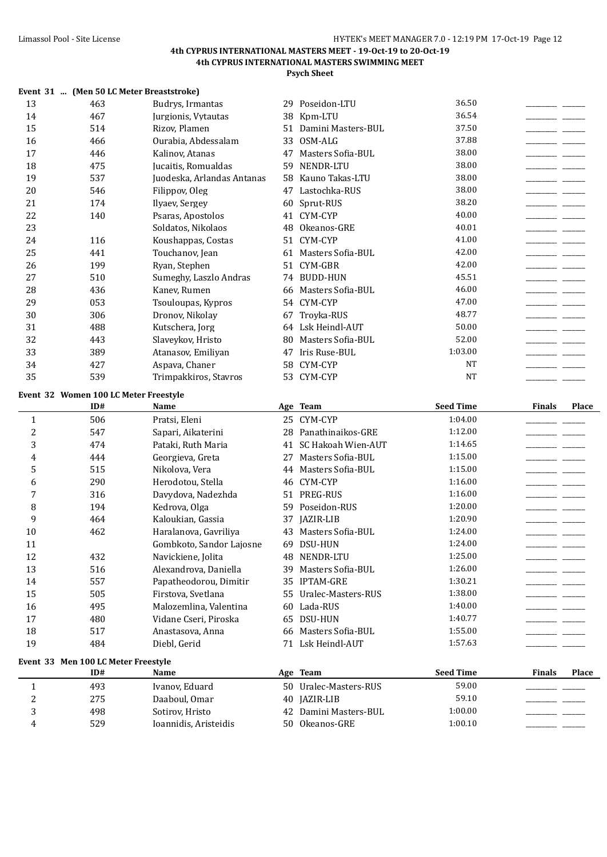|                  |                                            | Event 31  (Men 50 LC Meter Breaststroke) |    |                       |                  |               |       |
|------------------|--------------------------------------------|------------------------------------------|----|-----------------------|------------------|---------------|-------|
| 13               | 463                                        | Budrys, Irmantas                         |    | 29 Poseidon-LTU       | 36.50            |               |       |
| 14               | 467                                        | Jurgionis, Vytautas                      |    | 38 Kpm-LTU            | 36.54            |               |       |
| 15               | 514                                        | Rizov, Plamen                            |    | 51 Damini Masters-BUL | 37.50            |               |       |
| 16               | 466                                        | Ourabia, Abdessalam                      |    | 33 OSM-ALG            | 37.88            |               |       |
| 17               | 446                                        | Kalinov, Atanas                          | 47 | Masters Sofia-BUL     | 38.00            |               |       |
| 18               | 475                                        | Jucaitis, Romualdas                      | 59 | NENDR-LTU             | 38.00            |               |       |
| 19               | 537                                        | Juodeska, Arlandas Antanas               |    | 58 Kauno Takas-LTU    | 38.00            |               |       |
| 20               | 546                                        | Filippov, Oleg                           |    | 47 Lastochka-RUS      | 38.00            |               |       |
| 21               | 174                                        | Ilyaev, Sergey                           |    | 60 Sprut-RUS          | 38.20            |               |       |
| 22               | 140                                        | Psaras, Apostolos                        |    | 41 CYM-CYP            | 40.00            |               |       |
| 23               |                                            | Soldatos, Nikolaos                       |    | 48 Okeanos-GRE        | 40.01            |               |       |
| 24               | 116                                        | Koushappas, Costas                       |    | 51 CYM-CYP            | 41.00            |               |       |
| 25               | 441                                        | Touchanov, Jean                          |    | 61 Masters Sofia-BUL  | 42.00            |               |       |
| 26               | 199                                        | Ryan, Stephen                            |    | 51 CYM-GBR            | 42.00            |               |       |
| 27               | 510                                        | Sumeghy, Laszlo Andras                   |    | 74 BUDD-HUN           | 45.51            |               |       |
| 28               | 436                                        | Kanev, Rumen                             |    | 66 Masters Sofia-BUL  | 46.00            |               |       |
| 29               | 053                                        | Tsouloupas, Kypros                       |    | 54 CYM-CYP            | 47.00            |               |       |
| 30               | 306                                        | Dronov, Nikolay                          | 67 | Troyka-RUS            | 48.77            |               |       |
| 31               | 488                                        | Kutschera, Jorg                          |    | 64 Lsk Heindl-AUT     | 50.00            |               |       |
| 32               | 443                                        | Slaveykov, Hristo                        |    | 80 Masters Sofia-BUL  | 52.00            |               |       |
| 33               | 389                                        | Atanasov, Emiliyan                       |    | 47 Iris Ruse-BUL      | 1:03.00          |               |       |
| 34               | 427                                        | Aspava, Chaner                           |    | 58 CYM-CYP            | <b>NT</b>        |               |       |
| 35               | 539                                        | Trimpakkiros, Stavros                    |    | 53 CYM-CYP            | <b>NT</b>        |               |       |
|                  | Event 32 Women 100 LC Meter Freestyle      |                                          |    |                       |                  |               |       |
|                  | ID#                                        | Name                                     |    | Age Team              | <b>Seed Time</b> | <b>Finals</b> | Place |
| $\mathbf{1}$     | 506                                        | Pratsi, Eleni                            |    | 25 CYM-CYP            | 1:04.00          |               |       |
| $\overline{c}$   | 547                                        | Sapari, Aikaterini                       |    | 28 Panathinaikos-GRE  | 1:12.00          |               |       |
| 3                | 474                                        | Pataki, Ruth Maria                       |    | 41 SC Hakoah Wien-AUT | 1:14.65          |               |       |
| 4                | 444                                        | Georgieva, Greta                         |    | 27 Masters Sofia-BUL  | 1:15.00          |               |       |
| 5                | 515                                        | Nikolova, Vera                           |    | 44 Masters Sofia-BUL  | 1:15.00          |               |       |
| 6                | 290                                        | Herodotou, Stella                        |    | 46 CYM-CYP            | 1:16.00          |               |       |
| 7                | 316                                        | Davydova, Nadezhda                       |    | 51 PREG-RUS           | 1:16.00          |               |       |
| 8                | 194                                        | Kedrova, Olga                            |    | 59 Poseidon-RUS       | 1:20.00          |               |       |
| 9                | 464                                        | Kaloukian, Gassia                        |    | 37 JAZIR-LIB          | 1:20.90          |               |       |
| 10               | 462                                        | Haralanova, Gavriliya                    |    | 43 Masters Sofia-BUL  | 1:24.00          |               |       |
| 11               |                                            | Gombkoto, Sandor Lajosne                 |    | 69 DSU-HUN            | 1:24.00          |               |       |
| 12               | 432                                        | Navickiene, Jolita                       |    | 48 NENDR-LTU          | 1:25.00          |               |       |
| 13               | 516                                        | Alexandrova, Daniella                    |    | 39 Masters Sofia-BUL  | 1:26.00          |               |       |
| 14               | 557                                        | Papatheodorou, Dimitir                   |    | 35 IPTAM-GRE          | 1:30.21          |               |       |
| 15               | 505                                        | Firstova, Svetlana                       |    | 55 Uralec-Masters-RUS | 1:38.00          |               |       |
| 16               | 495                                        | Malozemlina, Valentina                   |    | 60 Lada-RUS           | 1:40.00          |               |       |
| 17               | 480                                        | Vidane Cseri, Piroska                    |    | 65 DSU-HUN            | 1:40.77          |               |       |
| 18               | 517                                        | Anastasova, Anna                         |    | 66 Masters Sofia-BUL  | 1:55.00          |               |       |
| 19               | 484                                        | Diebl, Gerid                             |    | 71 Lsk Heindl-AUT     | 1:57.63          |               |       |
|                  |                                            |                                          |    |                       |                  |               |       |
|                  | Event 33 Men 100 LC Meter Freestyle<br>ID# | Name                                     |    | Age Team              | <b>Seed Time</b> | <b>Finals</b> | Place |
| $\mathbf{1}$     | 493                                        | Ivanov, Eduard                           |    | 50 Uralec-Masters-RUS | 59.00            |               |       |
| $\boldsymbol{2}$ | 275                                        | Daaboul, Omar                            |    | 40 JAZIR-LIB          | 59.10            |               |       |
| 3                | 498                                        | Sotirov, Hristo                          |    | 42 Damini Masters-BUL | 1:00.00          |               |       |
| 4                | 529                                        | Ioannidis, Aristeidis                    |    | 50 Okeanos-GRE        | 1:00.10          |               |       |
|                  |                                            |                                          |    |                       |                  |               |       |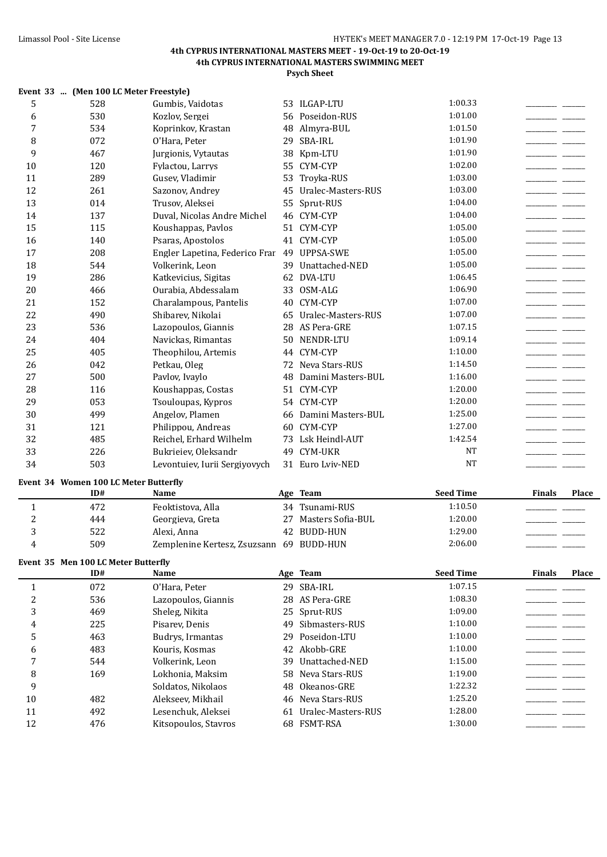|                | Event 33  (Men 100 LC Meter Freestyle) |                                             |    |                       |                  |                                                                                                                                                                                                                                      |              |
|----------------|----------------------------------------|---------------------------------------------|----|-----------------------|------------------|--------------------------------------------------------------------------------------------------------------------------------------------------------------------------------------------------------------------------------------|--------------|
| 5              | 528                                    | Gumbis, Vaidotas                            |    | 53 ILGAP-LTU          | 1:00.33          |                                                                                                                                                                                                                                      |              |
| 6              | 530                                    | Kozlov, Sergei                              |    | 56 Poseidon-RUS       | 1:01.00          | ____                                                                                                                                                                                                                                 |              |
| 7              | 534                                    | Koprinkov, Krastan                          |    | 48 Almyra-BUL         | 1:01.50          |                                                                                                                                                                                                                                      |              |
| 8              | 072                                    | O'Hara, Peter                               | 29 | SBA-IRL               | 1:01.90          |                                                                                                                                                                                                                                      |              |
| 9              | 467                                    | Jurgionis, Vytautas                         | 38 | Kpm-LTU               | 1:01.90          |                                                                                                                                                                                                                                      |              |
| 10             | 120                                    | Fylactou, Larrys                            |    | 55 CYM-CYP            | 1:02.00          |                                                                                                                                                                                                                                      |              |
| 11             | 289                                    | Gusev, Vladimir                             | 53 | Troyka-RUS            | 1:03.00          |                                                                                                                                                                                                                                      |              |
| 12             | 261                                    | Sazonov, Andrey                             | 45 | Uralec-Masters-RUS    | 1:03.00          |                                                                                                                                                                                                                                      |              |
| 13             | 014                                    | Trusov, Aleksei                             |    | 55 Sprut-RUS          | 1:04.00          | <u> De Carlos de Carlos de Carlos de Carlos de Carlos de Carlos de Carlos de Carlos de Carlos de Carlos de Carlos de Carlos de Carlos de Carlos de Carlos de Carlos de Carlos de Carlos de Carlos de Carlos de Carlos de Carlos </u> |              |
| 14             | 137                                    | Duval, Nicolas Andre Michel                 |    | 46 CYM-CYP            | 1:04.00          |                                                                                                                                                                                                                                      |              |
| 15             | 115                                    | Koushappas, Pavlos                          |    | 51 CYM-CYP            | 1:05.00          |                                                                                                                                                                                                                                      |              |
| 16             | 140                                    | Psaras, Apostolos                           |    | 41 CYM-CYP            | 1:05.00          |                                                                                                                                                                                                                                      |              |
| 17             | 208                                    | Engler Lapetina, Federico Frar 49 UPPSA-SWE |    |                       | 1:05.00          |                                                                                                                                                                                                                                      |              |
| 18             | 544                                    | Volkerink, Leon                             |    | 39 Unattached-NED     | 1:05.00          |                                                                                                                                                                                                                                      |              |
| 19             | 286                                    | Katkevicius, Sigitas                        |    | 62 DVA-LTU            | 1:06.45          |                                                                                                                                                                                                                                      |              |
| 20             | 466                                    | Ourabia, Abdessalam                         |    | 33 OSM-ALG            | 1:06.90          |                                                                                                                                                                                                                                      |              |
| 21             | 152                                    | Charalampous, Pantelis                      |    | 40 CYM-CYP            | 1:07.00          |                                                                                                                                                                                                                                      |              |
| 22             | 490                                    | Shibarev, Nikolai                           |    | 65 Uralec-Masters-RUS | 1:07.00          |                                                                                                                                                                                                                                      |              |
| 23             | 536                                    | Lazopoulos, Giannis                         |    | 28 AS Pera-GRE        | 1:07.15          |                                                                                                                                                                                                                                      |              |
| 24             | 404                                    | Navickas, Rimantas                          |    | 50 NENDR-LTU          | 1:09.14          |                                                                                                                                                                                                                                      |              |
| 25             | 405                                    | Theophilou, Artemis                         |    | 44 CYM-CYP            | 1:10.00          |                                                                                                                                                                                                                                      |              |
| 26             | 042                                    | Petkau, Oleg                                |    | 72 Neva Stars-RUS     | 1:14.50          |                                                                                                                                                                                                                                      |              |
| 27             | 500                                    | Pavlov, Ivaylo                              | 48 | Damini Masters-BUL    | 1:16.00          |                                                                                                                                                                                                                                      |              |
| 28             | 116                                    | Koushappas, Costas                          |    | 51 CYM-CYP            | 1:20.00          |                                                                                                                                                                                                                                      |              |
| 29             | 053                                    | Tsouloupas, Kypros                          |    | 54 CYM-CYP            | 1:20.00          |                                                                                                                                                                                                                                      |              |
| 30             | 499                                    | Angelov, Plamen                             | 66 | Damini Masters-BUL    | 1:25.00          |                                                                                                                                                                                                                                      |              |
| 31             | 121                                    | Philippou, Andreas                          |    | 60 CYM-CYP            | 1:27.00          |                                                                                                                                                                                                                                      |              |
| 32             | 485                                    | Reichel, Erhard Wilhelm                     |    | 73 Lsk Heindl-AUT     | 1:42.54          |                                                                                                                                                                                                                                      |              |
| 33             | 226                                    | Bukrieiev, Oleksandr                        | 49 | <b>CYM-UKR</b>        | <b>NT</b>        |                                                                                                                                                                                                                                      |              |
| 34             | 503                                    | Levontuiev, Iurii Sergiyovych               |    | 31 Euro Lviv-NED      | <b>NT</b>        |                                                                                                                                                                                                                                      |              |
|                | Event 34 Women 100 LC Meter Butterfly  |                                             |    |                       |                  |                                                                                                                                                                                                                                      |              |
|                | ID#                                    | Name                                        |    | Age Team              | <b>Seed Time</b> | <b>Finals</b>                                                                                                                                                                                                                        | <b>Place</b> |
| $\mathbf{1}$   | 472                                    | Feoktistova, Alla                           |    | 34 Tsunami-RUS        | 1:10.50          |                                                                                                                                                                                                                                      |              |
| $\overline{c}$ | 444                                    | Georgieva, Greta                            | 27 | Masters Sofia-BUL     | 1:20.00          |                                                                                                                                                                                                                                      |              |
| 3              | 522                                    | Alexi, Anna                                 |    | 42 BUDD-HUN           | 1:29.00          |                                                                                                                                                                                                                                      |              |
| 4              | 509                                    | Zemplenine Kertesz, Zsuzsann 69 BUDD-HUN    |    |                       | 2:06.00          |                                                                                                                                                                                                                                      |              |
|                | Event 35 Men 100 LC Meter Butterfly    |                                             |    |                       |                  |                                                                                                                                                                                                                                      |              |
|                | ID#                                    | Name                                        |    | Age Team              | <b>Seed Time</b> | <b>Finals</b>                                                                                                                                                                                                                        | Place        |
| $\mathbf{1}$   | 072                                    | O'Hara, Peter                               |    | 29 SBA-IRL            | 1:07.15          |                                                                                                                                                                                                                                      |              |
| $\overline{c}$ | 536                                    | Lazopoulos, Giannis                         |    | 28 AS Pera-GRE        | 1:08.30          |                                                                                                                                                                                                                                      |              |
| 3              | 469                                    | Sheleg, Nikita                              |    | 25 Sprut-RUS          | 1:09.00          |                                                                                                                                                                                                                                      |              |
| 4              | 225                                    | Pisarev, Denis                              | 49 | Sibmasters-RUS        | 1:10.00          |                                                                                                                                                                                                                                      |              |
| 5              | 463                                    | Budrys, Irmantas                            | 29 | Poseidon-LTU          | 1:10.00          |                                                                                                                                                                                                                                      |              |
| 6              | 483                                    | Kouris, Kosmas                              |    | 42 Akobb-GRE          | 1:10.00          |                                                                                                                                                                                                                                      |              |
| 7              | 544                                    | Volkerink, Leon                             | 39 | Unattached-NED        | 1:15.00          |                                                                                                                                                                                                                                      |              |
| 8              | 169                                    | Lokhonia, Maksim                            | 58 | Neva Stars-RUS        | 1:19.00          |                                                                                                                                                                                                                                      |              |
| 9              |                                        | Soldatos, Nikolaos                          | 48 | Okeanos-GRE           | 1:22.32          |                                                                                                                                                                                                                                      |              |
| 10             | 482                                    | Alekseev, Mikhail                           |    | 46 Neva Stars-RUS     | 1:25.20          |                                                                                                                                                                                                                                      |              |
| 11             | 492                                    | Lesenchuk, Aleksei                          | 61 | Uralec-Masters-RUS    | 1:28.00          |                                                                                                                                                                                                                                      |              |
| 12             | 476                                    | Kitsopoulos, Stavros                        |    | 68 FSMT-RSA           | 1:30.00          |                                                                                                                                                                                                                                      |              |
|                |                                        |                                             |    |                       |                  |                                                                                                                                                                                                                                      |              |